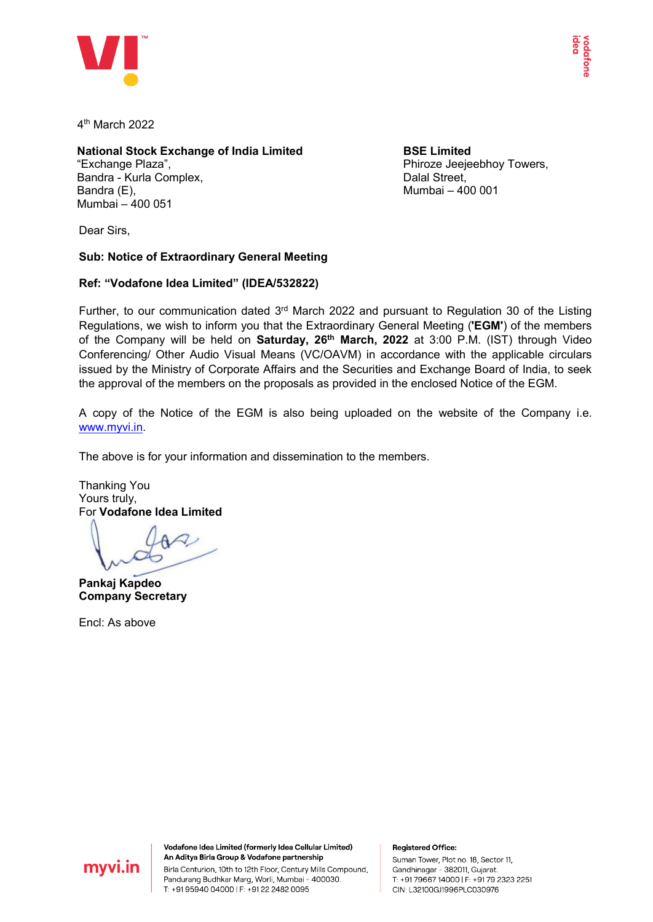

4th March 2022

#### **National Stock Exchange of India Limited** "Exchange Plaza", Bandra - Kurla Complex, Bandra (E), Mumbai – 400 051

**BSE Limited** Phiroze Jeejeebhoy Towers, Dalal Street, Mumbai – 400 001

Dear Sirs,

# **Sub: Notice of Extraordinary General Meeting**

## **Ref: "Vodafone Idea Limited" (IDEA/532822)**

Further, to our communication dated  $3<sup>rd</sup>$  March 2022 and pursuant to Regulation 30 of the Listing Regulations, we wish to inform you that the Extraordinary General Meeting (**'EGM'**) of the members of the Company will be held on **Saturday, 26th March, 2022** at 3:00 P.M. (IST) through Video Conferencing/ Other Audio Visual Means (VC/OAVM) in accordance with the applicable circulars issued by the Ministry of Corporate Affairs and the Securities and Exchange Board of India, to seek the approval of the members on the proposals as provided in the enclosed Notice of the EGM.

A copy of the Notice of the EGM is also being uploaded on the website of the Company i.e. [www.myvi.in.](http://www.myvi.in/)

The above is for your information and dissemination to the members.

Thanking You Yours truly, For **Vodafone Idea Limited**

**Pankaj Kapdeo Company Secretary**

Encl: As above



Vodafone Idea Limited (formerly Idea Cellular Limited) An Aditya Birla Group & Vodafone partnership Birla Centurion, 10th to 12th Floor, Century Mills Compound,

Pandurang Budhkar Marg, Worli, Mumbai - 400030. T: +91 95940 04000 | F: +91 22 2482 0095

**Registered Office:** 

Suman Tower, Plot no. 18, Sector 11, Gandhinagar - 382011, Gujarat. T: +91 79667 14000 | F: +91 79 2323 2251 CIN: L32100GJ1996PLC030976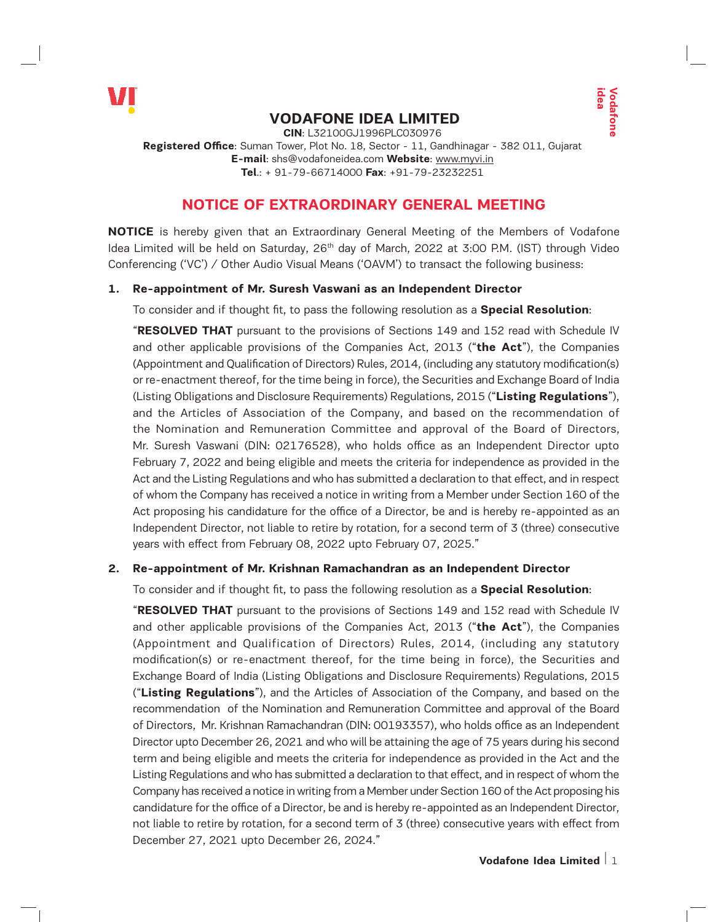

# **VODAFONE IDEA LIMITED**

**CIN**: L32100GJ1996PLC030976 **Registered Office**: Suman Tower, Plot No. 18, Sector - 11, Gandhinagar - 382 011, Gujarat **E-mail**: shs@vodafoneidea.com **Website**: www.myvi.in **Tel**.: + 91-79-66714000 **Fax**: +91-79-23232251

# **NOTICE OF EXTRAORDINARY GENERAL MEETING**

**NOTICE** is hereby given that an Extraordinary General Meeting of the Members of Vodafone Idea Limited will be held on Saturday,  $26<sup>th</sup>$  day of March, 2022 at 3:00 P.M. (IST) through Video Conferencing ('VC') / Other Audio Visual Means ('OAVM') to transact the following business:

## **1. Re-appointment of Mr. Suresh Vaswani as an Independent Director**

To consider and if thought fit, to pass the following resolution as a **Special Resolution**:

"**RESOLVED THAT** pursuant to the provisions of Sections 149 and 152 read with Schedule IV and other applicable provisions of the Companies Act, 2013 ("**the Act**"), the Companies (Appointment and Qualification of Directors) Rules, 2014, (including any statutory modification(s) or re-enactment thereof, for the time being in force), the Securities and Exchange Board of India (Listing Obligations and Disclosure Requirements) Regulations, 2015 ("**Listing Regulations**"), and the Articles of Association of the Company, and based on the recommendation of the Nomination and Remuneration Committee and approval of the Board of Directors, Mr. Suresh Vaswani (DIN: 02176528), who holds office as an Independent Director upto February 7, 2022 and being eligible and meets the criteria for independence as provided in the Act and the Listing Regulations and who has submitted a declaration to that effect, and in respect of whom the Company has received a notice in writing from a Member under Section 160 of the Act proposing his candidature for the office of a Director, be and is hereby re-appointed as an Independent Director, not liable to retire by rotation, for a second term of 3 (three) consecutive years with effect from February 08, 2022 upto February 07, 2025."

#### **2. Re-appointment of Mr. Krishnan Ramachandran as an Independent Director**

To consider and if thought fit, to pass the following resolution as a **Special Resolution**:

**Example 12**<br> **Volvembers** and the Booking of the Administration of PM. (IST) through Videa<br> **MEETING**<br> **IDEA CONDITY (IST)** through Videa<br> **Second Resolution:**<br> **IDEA CONDITY (IST)** the Companies<br> **Second Resolution:**<br> **I** "**RESOLVED THAT** pursuant to the provisions of Sections 149 and 152 read with Schedule IV and other applicable provisions of the Companies Act, 2013 ("**the Act**"), the Companies (Appointment and Qualification of Directors) Rules, 2014, (including any statutory modification(s) or re-enactment thereof, for the time being in force), the Securities and Exchange Board of India (Listing Obligations and Disclosure Requirements) Regulations, 2015 ("**Listing Regulations**"), and the Articles of Association of the Company, and based on the recommendation of the Nomination and Remuneration Committee and approval of the Board of Directors, Mr. Krishnan Ramachandran (DIN: 00193357), who holds office as an Independent Director upto December 26, 2021 and who will be attaining the age of 75 years during his second term and being eligible and meets the criteria for independence as provided in the Act and the Listing Regulations and who has submitted a declaration to that effect, and in respect of whom the Company has received a notice in writing from a Member under Section 160 of the Act proposing his candidature for the office of a Director, be and is hereby re-appointed as an Independent Director, not liable to retire by rotation, for a second term of 3 (three) consecutive years with effect from December 27, 2021 upto December 26, 2024."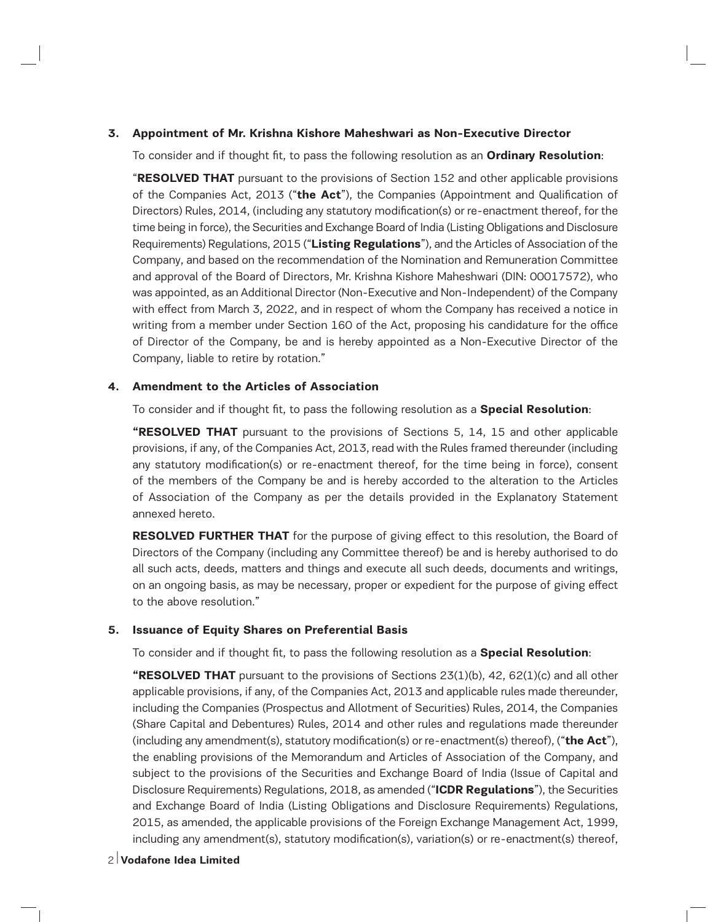#### **3. Appointment of Mr. Krishna Kishore Maheshwari as Non-Executive Director**

To consider and if thought fit, to pass the following resolution as an **Ordinary Resolution**:

"**RESOLVED THAT** pursuant to the provisions of Section 152 and other applicable provisions of the Companies Act, 2013 ("**the Act**"), the Companies (Appointment and Qualification of Directors) Rules, 2014, (including any statutory modification(s) or re-enactment thereof, for the time being in force), the Securities and Exchange Board of India (Listing Obligations and Disclosure Requirements) Regulations, 2015 ("**Listing Regulations**"), and the Articles of Association of the Company, and based on the recommendation of the Nomination and Remuneration Committee and approval of the Board of Directors, Mr. Krishna Kishore Maheshwari (DIN: 00017572), who was appointed, as an Additional Director (Non-Executive and Non-Independent) of the Company with effect from March 3, 2022, and in respect of whom the Company has received a notice in writing from a member under Section 160 of the Act, proposing his candidature for the office of Director of the Company, be and is hereby appointed as a Non-Executive Director of the Company, liable to retire by rotation."

#### **4. Amendment to the Articles of Association**

To consider and if thought fit, to pass the following resolution as a **Special Resolution**:

**"RESOLVED THAT** pursuant to the provisions of Sections 5, 14, 15 and other applicable provisions, if any, of the Companies Act, 2013, read with the Rules framed thereunder (including any statutory modification(s) or re-enactment thereof, for the time being in force), consent of the members of the Company be and is hereby accorded to the alteration to the Articles of Association of the Company as per the details provided in the Explanatory Statement annexed hereto.

**RESOLVED FURTHER THAT** for the purpose of giving effect to this resolution, the Board of Directors of the Company (including any Committee thereof) be and is hereby authorised to do all such acts, deeds, matters and things and execute all such deeds, documents and writings, on an ongoing basis, as may be necessary, proper or expedient for the purpose of giving effect to the above resolution."

#### **5. Issuance of Equity Shares on Preferential Basis**

To consider and if thought fit, to pass the following resolution as a **Special Resolution**:

**"RESOLVED THAT** pursuant to the provisions of Sections 23(1)(b), 42, 62(1)(c) and all other applicable provisions, if any, of the Companies Act, 2013 and applicable rules made thereunder, including the Companies (Prospectus and Allotment of Securities) Rules, 2014, the Companies (Share Capital and Debentures) Rules, 2014 and other rules and regulations made thereunder (including any amendment(s), statutory modification(s) or re-enactment(s) thereof), ("**the Act**"), the enabling provisions of the Memorandum and Articles of Association of the Company, and subject to the provisions of the Securities and Exchange Board of India (Issue of Capital and Disclosure Requirements) Regulations, 2018, as amended ("**ICDR Regulations**"), the Securities and Exchange Board of India (Listing Obligations and Disclosure Requirements) Regulations, 2015, as amended, the applicable provisions of the Foreign Exchange Management Act, 1999, including any amendment(s), statutory modification(s), variation(s) or re-enactment(s) thereof,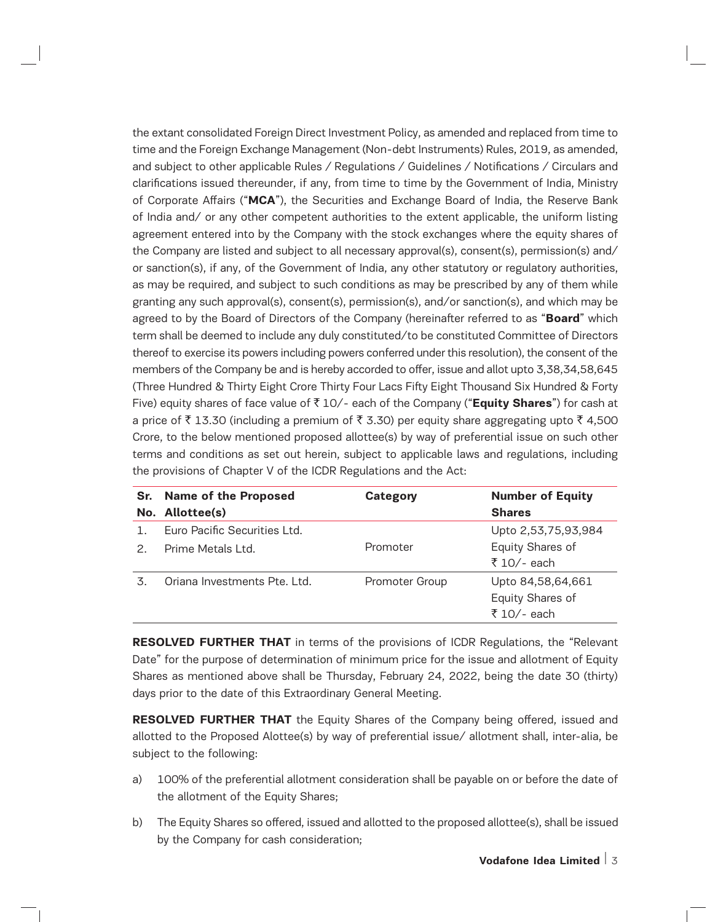the extant consolidated Foreign Direct Investment Policy, as amended and replaced from time to time and the Foreign Exchange Management (Non-debt Instruments) Rules, 2019, as amended, and subject to other applicable Rules / Regulations / Guidelines / Notifications / Circulars and clarifications issued thereunder, if any, from time to time by the Government of India, Ministry of Corporate Affairs ("**MCA**"), the Securities and Exchange Board of India, the Reserve Bank of India and/ or any other competent authorities to the extent applicable, the uniform listing agreement entered into by the Company with the stock exchanges where the equity shares of the Company are listed and subject to all necessary approval(s), consent(s), permission(s) and/ or sanction(s), if any, of the Government of India, any other statutory or regulatory authorities, as may be required, and subject to such conditions as may be prescribed by any of them while granting any such approval(s), consent(s), permission(s), and/or sanction(s), and which may be agreed to by the Board of Directors of the Company (hereinafter referred to as "**Board**" which term shall be deemed to include any duly constituted/to be constituted Committee of Directors thereof to exercise its powers including powers conferred under this resolution), the consent of the members of the Company be and is hereby accorded to offer, issue and allot upto 3,38,34,58,645 (Three Hundred & Thirty Eight Crore Thirty Four Lacs Fifty Eight Thousand Six Hundred & Forty Five) equity shares of face value of ` 10/- each of the Company ("**Equity Shares**") for cash at a price of  $\bar{\tau}$  13.30 (including a premium of  $\bar{\tau}$  3.30) per equity share aggregating upto  $\bar{\tau}$  4,500 Crore, to the below mentioned proposed allottee(s) by way of preferential issue on such other terms and conditions as set out herein, subject to applicable laws and regulations, including the provisions of Chapter V of the ICDR Regulations and the Act:

|    | Sr. Name of the Proposed     | <b>Category</b> | <b>Number of Equity</b> |
|----|------------------------------|-----------------|-------------------------|
|    | No. Allottee(s)              |                 | <b>Shares</b>           |
|    | Euro Pacific Securities Ltd. |                 | Upto 2,53,75,93,984     |
|    | Prime Metals Ltd.            | Promoter        | Equity Shares of        |
|    |                              |                 | ₹ 10/- each             |
| 3. | Oriana Investments Pte. Ltd. | Promoter Group  | Upto 84,58,64,661       |
|    |                              |                 | Equity Shares of        |
|    |                              |                 | ₹ 10/- each             |

**RESOLVED FURTHER THAT** in terms of the provisions of ICDR Regulations, the "Relevant" Date" for the purpose of determination of minimum price for the issue and allotment of Equity Shares as mentioned above shall be Thursday, February 24, 2022, being the date 30 (thirty) days prior to the date of this Extraordinary General Meeting.

**RESOLVED FURTHER THAT** the Equity Shares of the Company being offered, issued and allotted to the Proposed Alottee(s) by way of preferential issue/ allotment shall, inter-alia, be subject to the following:

- a) 100% of the preferential allotment consideration shall be payable on or before the date of the allotment of the Equity Shares;
- b) The Equity Shares so offered, issued and allotted to the proposed allottee(s), shall be issued by the Company for cash consideration;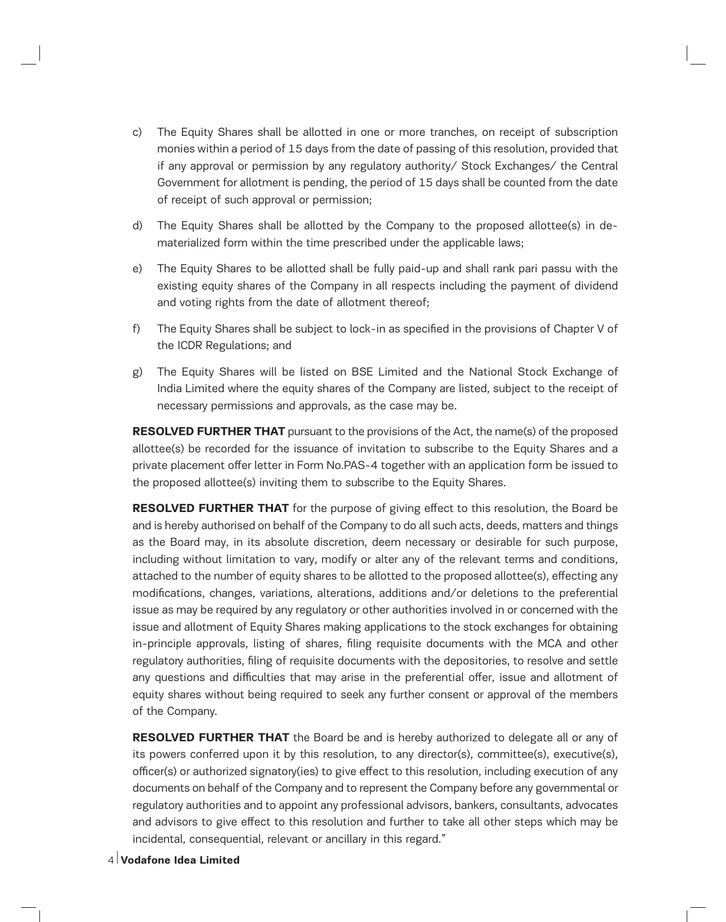- c) The Equity Shares shall be allotted in one or more tranches, on receipt of subscription monies within a period of 15 days from the date of passing of this resolution, provided that if any approval or permission by any regulatory authority/ Stock Exchanges/ the Central Government for allotment is pending, the period of 15 days shall be counted from the date of receipt of such approval or permission;
- d) The Equity Shares shall be allotted by the Company to the proposed allottee(s) in dematerialized form within the time prescribed under the applicable laws;
- e) The Equity Shares to be allotted shall be fully paid-up and shall rank pari passu with the existing equity shares of the Company in all respects including the payment of dividend and voting rights from the date of allotment thereof;
- f) The Equity Shares shall be subject to lock-in as specified in the provisions of Chapter V of the ICDR Regulations; and
- g) The Equity Shares will be listed on BSE Limited and the National Stock Exchange of India Limited where the equity shares of the Company are listed, subject to the receipt of necessary permissions and approvals, as the case may be.

**RESOLVED FURTHER THAT** pursuant to the provisions of the Act, the name(s) of the proposed allottee(s) be recorded for the issuance of invitation to subscribe to the Equity Shares and a private placement offer letter in Form No.PAS-4 together with an application form be issued to the proposed allottee(s) inviting them to subscribe to the Equity Shares.

**RESOLVED FURTHER THAT** for the purpose of giving effect to this resolution, the Board be and is hereby authorised on behalf of the Company to do all such acts, deeds, matters and things as the Board may, in its absolute discretion, deem necessary or desirable for such purpose, including without limitation to vary, modify or alter any of the relevant terms and conditions, attached to the number of equity shares to be allotted to the proposed allottee(s), effecting any modifications, changes, variations, alterations, additions and/or deletions to the preferential issue as may be required by any regulatory or other authorities involved in or concerned with the issue and allotment of Equity Shares making applications to the stock exchanges for obtaining in-principle approvals, listing of shares, filing requisite documents with the MCA and other regulatory authorities, filing of requisite documents with the depositories, to resolve and settle any questions and difficulties that may arise in the preferential offer, issue and allotment of equity shares without being required to seek any further consent or approval of the members of the Company.

**RESOLVED FURTHER THAT** the Board be and is hereby authorized to delegate all or any of its powers conferred upon it by this resolution, to any director(s), committee(s), executive(s), officer(s) or authorized signatory(ies) to give effect to this resolution, including execution of any documents on behalf of the Company and to represent the Company before any governmental or regulatory authorities and to appoint any professional advisors, bankers, consultants, advocates and advisors to give effect to this resolution and further to take all other steps which may be incidental, consequential, relevant or ancillary in this regard."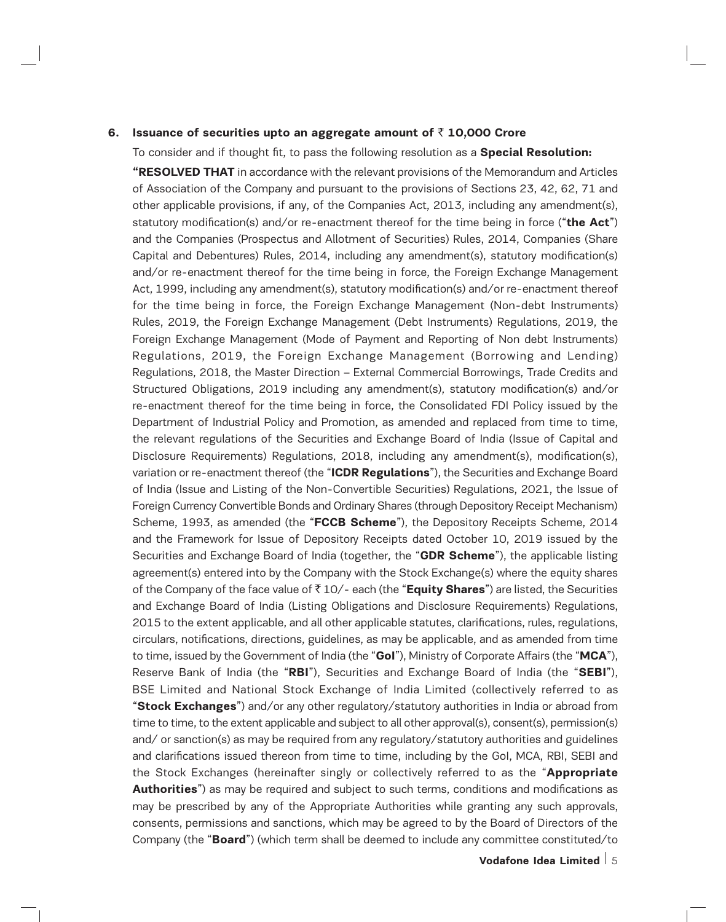#### **6. Issuance of securities upto an aggregate amount of** ` **10,000 Crore**

To consider and if thought fit, to pass the following resolution as a **Special Resolution:**

**"RESOLVED THAT** in accordance with the relevant provisions of the Memorandum and Articles of Association of the Company and pursuant to the provisions of Sections 23, 42, 62, 71 and other applicable provisions, if any, of the Companies Act, 2013, including any amendment(s), statutory modification(s) and/or re-enactment thereof for the time being in force ("**the Act**") and the Companies (Prospectus and Allotment of Securities) Rules, 2014, Companies (Share Capital and Debentures) Rules, 2014, including any amendment(s), statutory modification(s) and/or re-enactment thereof for the time being in force, the Foreign Exchange Management Act, 1999, including any amendment(s), statutory modification(s) and/or re-enactment thereof for the time being in force, the Foreign Exchange Management (Non-debt Instruments) Rules, 2019, the Foreign Exchange Management (Debt Instruments) Regulations, 2019, the Foreign Exchange Management (Mode of Payment and Reporting of Non debt Instruments) Regulations, 2019, the Foreign Exchange Management (Borrowing and Lending) Regulations, 2018, the Master Direction – External Commercial Borrowings, Trade Credits and Structured Obligations, 2019 including any amendment(s), statutory modification(s) and/or re-enactment thereof for the time being in force, the Consolidated FDI Policy issued by the Department of Industrial Policy and Promotion, as amended and replaced from time to time, the relevant regulations of the Securities and Exchange Board of India (Issue of Capital and Disclosure Requirements) Regulations, 2018, including any amendment(s), modification(s), variation or re-enactment thereof (the "**ICDR Regulations**"), the Securities and Exchange Board of India (Issue and Listing of the Non-Convertible Securities) Regulations, 2021, the Issue of Foreign Currency Convertible Bonds and Ordinary Shares (through Depository Receipt Mechanism) Scheme, 1993, as amended (the "**FCCB Scheme**"), the Depository Receipts Scheme, 2014 and the Framework for Issue of Depository Receipts dated October 10, 2019 issued by the Securities and Exchange Board of India (together, the "**GDR Scheme**"), the applicable listing agreement(s) entered into by the Company with the Stock Exchange(s) where the equity shares of the Company of the face value of ` 10/- each (the "**Equity Shares**") are listed, the Securities and Exchange Board of India (Listing Obligations and Disclosure Requirements) Regulations, 2015 to the extent applicable, and all other applicable statutes, clarifications, rules, regulations, circulars, notifications, directions, guidelines, as may be applicable, and as amended from time to time, issued by the Government of India (the "**GoI**"), Ministry of Corporate Affairs (the "**MCA**"), Reserve Bank of India (the "**RBI**"), Securities and Exchange Board of India (the "**SEBI**"), BSE Limited and National Stock Exchange of India Limited (collectively referred to as "**Stock Exchanges**") and/or any other regulatory/statutory authorities in India or abroad from time to time, to the extent applicable and subject to all other approval(s), consent(s), permission(s) and/ or sanction(s) as may be required from any regulatory/statutory authorities and guidelines and clarifications issued thereon from time to time, including by the GoI, MCA, RBI, SEBI and the Stock Exchanges (hereinafter singly or collectively referred to as the "**Appropriate Authorities**") as may be required and subject to such terms, conditions and modifications as may be prescribed by any of the Appropriate Authorities while granting any such approvals, consents, permissions and sanctions, which may be agreed to by the Board of Directors of the Company (the "**Board**") (which term shall be deemed to include any committee constituted/to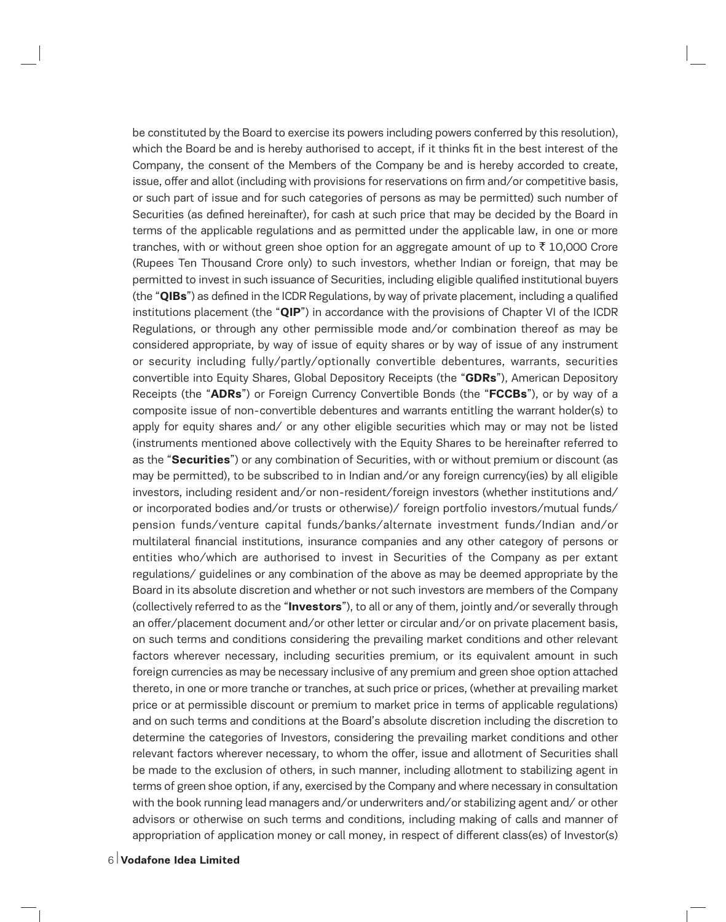be constituted by the Board to exercise its powers including powers conferred by this resolution), which the Board be and is hereby authorised to accept, if it thinks fit in the best interest of the Company, the consent of the Members of the Company be and is hereby accorded to create, issue, offer and allot (including with provisions for reservations on firm and/or competitive basis, or such part of issue and for such categories of persons as may be permitted) such number of Securities (as defined hereinafter), for cash at such price that may be decided by the Board in terms of the applicable regulations and as permitted under the applicable law, in one or more tranches, with or without green shoe option for an aggregate amount of up to  $\bar{\tau}$  10,000 Crore (Rupees Ten Thousand Crore only) to such investors, whether Indian or foreign, that may be permitted to invest in such issuance of Securities, including eligible qualified institutional buyers (the "**QIBs**") as defined in the ICDR Regulations, by way of private placement, including a qualified institutions placement (the "**QIP**") in accordance with the provisions of Chapter VI of the ICDR Regulations, or through any other permissible mode and/or combination thereof as may be considered appropriate, by way of issue of equity shares or by way of issue of any instrument or security including fully/partly/optionally convertible debentures, warrants, securities convertible into Equity Shares, Global Depository Receipts (the "**GDRs**"), American Depository Receipts (the "**ADRs**") or Foreign Currency Convertible Bonds (the "**FCCBs**"), or by way of a composite issue of non-convertible debentures and warrants entitling the warrant holder(s) to apply for equity shares and/ or any other eligible securities which may or may not be listed (instruments mentioned above collectively with the Equity Shares to be hereinafter referred to as the "**Securities**") or any combination of Securities, with or without premium or discount (as may be permitted), to be subscribed to in Indian and/or any foreign currency(ies) by all eligible investors, including resident and/or non-resident/foreign investors (whether institutions and/ or incorporated bodies and/or trusts or otherwise)/ foreign portfolio investors/mutual funds/ pension funds/venture capital funds/banks/alternate investment funds/Indian and/or multilateral financial institutions, insurance companies and any other category of persons or entities who/which are authorised to invest in Securities of the Company as per extant regulations/ guidelines or any combination of the above as may be deemed appropriate by the Board in its absolute discretion and whether or not such investors are members of the Company (collectively referred to as the "**Investors**"), to all or any of them, jointly and/or severally through an offer/placement document and/or other letter or circular and/or on private placement basis, on such terms and conditions considering the prevailing market conditions and other relevant factors wherever necessary, including securities premium, or its equivalent amount in such foreign currencies as may be necessary inclusive of any premium and green shoe option attached thereto, in one or more tranche or tranches, at such price or prices, (whether at prevailing market price or at permissible discount or premium to market price in terms of applicable regulations) and on such terms and conditions at the Board's absolute discretion including the discretion to determine the categories of Investors, considering the prevailing market conditions and other relevant factors wherever necessary, to whom the offer, issue and allotment of Securities shall be made to the exclusion of others, in such manner, including allotment to stabilizing agent in terms of green shoe option, if any, exercised by the Company and where necessary in consultation with the book running lead managers and/or underwriters and/or stabilizing agent and/or other advisors or otherwise on such terms and conditions, including making of calls and manner of appropriation of application money or call money, in respect of different class(es) of Investor(s)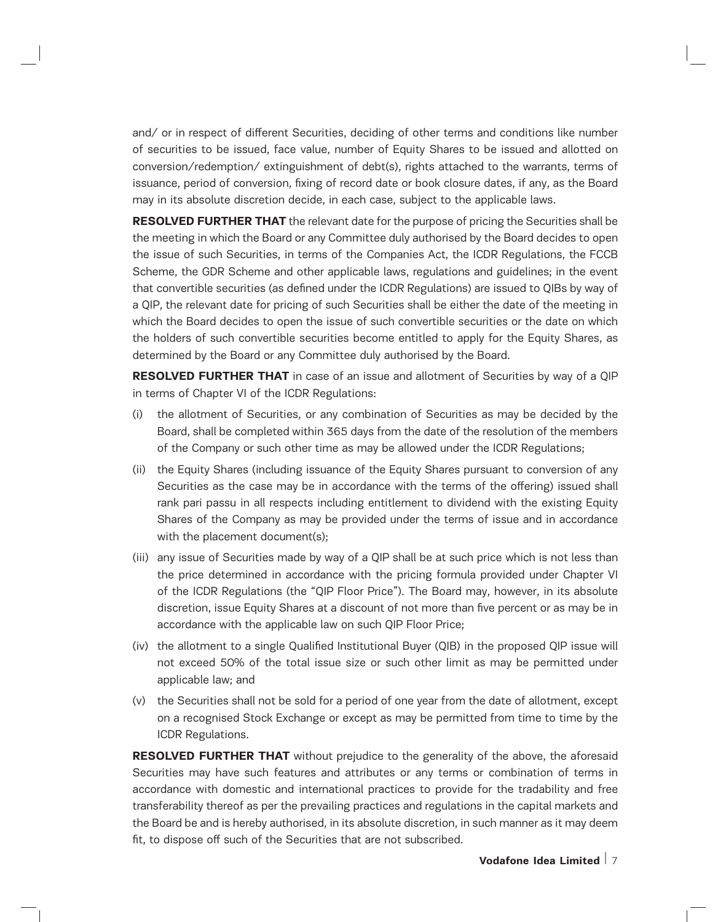and/ or in respect of different Securities, deciding of other terms and conditions like number of securities to be issued, face value, number of Equity Shares to be issued and allotted on conversion/redemption/ extinguishment of debt(s), rights attached to the warrants, terms of issuance, period of conversion, fixing of record date or book closure dates, if any, as the Board may in its absolute discretion decide, in each case, subject to the applicable laws.

**RESOLVED FURTHER THAT** the relevant date for the purpose of pricing the Securities shall be the meeting in which the Board or any Committee duly authorised by the Board decides to open the issue of such Securities, in terms of the Companies Act, the ICDR Regulations, the FCCB Scheme, the GDR Scheme and other applicable laws, regulations and guidelines; in the event that convertible securities (as defined under the ICDR Regulations) are issued to QIBs by way of a QIP, the relevant date for pricing of such Securities shall be either the date of the meeting in which the Board decides to open the issue of such convertible securities or the date on which the holders of such convertible securities become entitled to apply for the Equity Shares, as determined by the Board or any Committee duly authorised by the Board.

**RESOLVED FURTHER THAT** in case of an issue and allotment of Securities by way of a QIP in terms of Chapter VI of the ICDR Regulations:

- (i) the allotment of Securities, or any combination of Securities as may be decided by the Board, shall be completed within 365 days from the date of the resolution of the members of the Company or such other time as may be allowed under the ICDR Regulations;
- (ii) the Equity Shares (including issuance of the Equity Shares pursuant to conversion of any Securities as the case may be in accordance with the terms of the offering) issued shall rank pari passu in all respects including entitlement to dividend with the existing Equity Shares of the Company as may be provided under the terms of issue and in accordance with the placement document(s);
- (iii) any issue of Securities made by way of a QIP shall be at such price which is not less than the price determined in accordance with the pricing formula provided under Chapter VI of the ICDR Regulations (the "QIP Floor Price"). The Board may, however, in its absolute discretion, issue Equity Shares at a discount of not more than five percent or as may be in accordance with the applicable law on such QIP Floor Price;
- (iv) the allotment to a single Qualified Institutional Buyer (QIB) in the proposed QIP issue will not exceed 50% of the total issue size or such other limit as may be permitted under applicable law; and
- (v) the Securities shall not be sold for a period of one year from the date of allotment, except on a recognised Stock Exchange or except as may be permitted from time to time by the ICDR Regulations.

**RESOLVED FURTHER THAT** without prejudice to the generality of the above, the aforesaid Securities may have such features and attributes or any terms or combination of terms in accordance with domestic and international practices to provide for the tradability and free transferability thereof as per the prevailing practices and regulations in the capital markets and the Board be and is hereby authorised, in its absolute discretion, in such manner as it may deem fit, to dispose off such of the Securities that are not subscribed.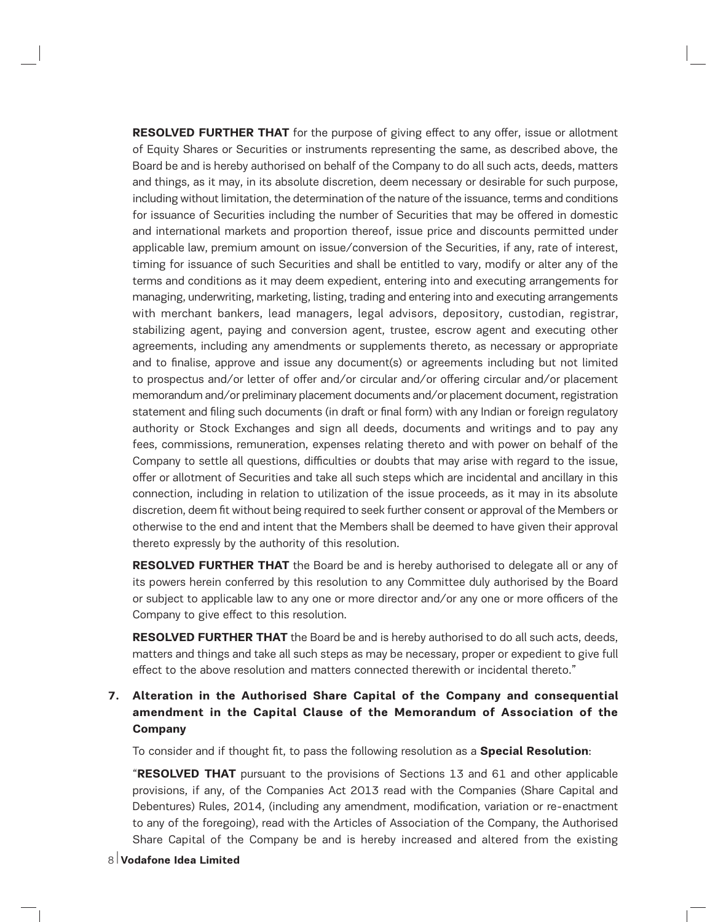**RESOLVED FURTHER THAT** for the purpose of giving effect to any offer, issue or allotment of Equity Shares or Securities or instruments representing the same, as described above, the Board be and is hereby authorised on behalf of the Company to do all such acts, deeds, matters and things, as it may, in its absolute discretion, deem necessary or desirable for such purpose, including without limitation, the determination of the nature of the issuance, terms and conditions for issuance of Securities including the number of Securities that may be offered in domestic and international markets and proportion thereof, issue price and discounts permitted under applicable law, premium amount on issue/conversion of the Securities, if any, rate of interest, timing for issuance of such Securities and shall be entitled to vary, modify or alter any of the terms and conditions as it may deem expedient, entering into and executing arrangements for managing, underwriting, marketing, listing, trading and entering into and executing arrangements with merchant bankers, lead managers, legal advisors, depository, custodian, registrar, stabilizing agent, paying and conversion agent, trustee, escrow agent and executing other agreements, including any amendments or supplements thereto, as necessary or appropriate and to finalise, approve and issue any document(s) or agreements including but not limited to prospectus and/or letter of offer and/or circular and/or offering circular and/or placement memorandum and/or preliminary placement documents and/or placement document, registration statement and filing such documents (in draft or final form) with any Indian or foreign regulatory authority or Stock Exchanges and sign all deeds, documents and writings and to pay any fees, commissions, remuneration, expenses relating thereto and with power on behalf of the Company to settle all questions, difficulties or doubts that may arise with regard to the issue, offer or allotment of Securities and take all such steps which are incidental and ancillary in this connection, including in relation to utilization of the issue proceeds, as it may in its absolute discretion, deem fit without being required to seek further consent or approval of the Members or otherwise to the end and intent that the Members shall be deemed to have given their approval thereto expressly by the authority of this resolution.

**RESOLVED FURTHER THAT** the Board be and is hereby authorised to delegate all or any of its powers herein conferred by this resolution to any Committee duly authorised by the Board or subject to applicable law to any one or more director and/or any one or more officers of the Company to give effect to this resolution.

**RESOLVED FURTHER THAT** the Board be and is hereby authorised to do all such acts, deeds, matters and things and take all such steps as may be necessary, proper or expedient to give full effect to the above resolution and matters connected therewith or incidental thereto."

# **7. Alteration in the Authorised Share Capital of the Company and consequential amendment in the Capital Clause of the Memorandum of Association of the Company**

To consider and if thought fit, to pass the following resolution as a **Special Resolution**:

"**RESOLVED THAT** pursuant to the provisions of Sections 13 and 61 and other applicable provisions, if any, of the Companies Act 2013 read with the Companies (Share Capital and Debentures) Rules, 2014, (including any amendment, modification, variation or re-enactment to any of the foregoing), read with the Articles of Association of the Company, the Authorised Share Capital of the Company be and is hereby increased and altered from the existing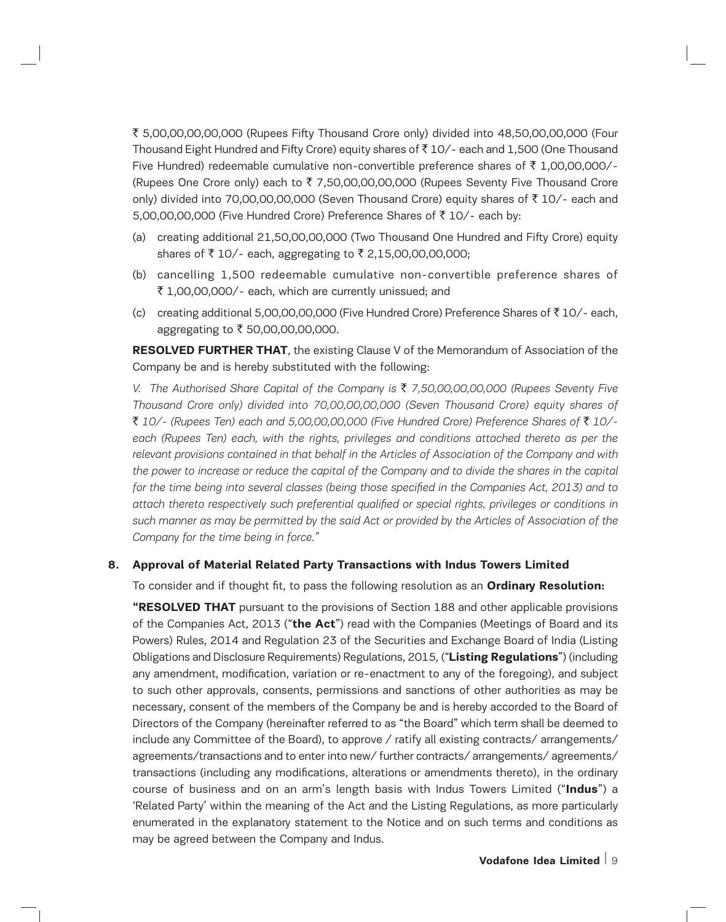` 5,00,00,00,00,000 (Rupees Fifty Thousand Crore only) divided into 48,50,00,00,000 (Four Thousand Eight Hundred and Fifty Crore) equity shares of  $\bar{\tau}$  10/- each and 1,500 (One Thousand Five Hundred) redeemable cumulative non-convertible preference shares of  $\bar{\tau}$  1,00,00,000/-(Rupees One Crore only) each to  $\bar{\tau}$  7,50,00,00,00,000 (Rupees Seventy Five Thousand Crore only) divided into 70,00,00,00,000 (Seven Thousand Crore) equity shares of  $\bar{z}$  10/- each and 5,00,00,00,000 (Five Hundred Crore) Preference Shares of  $\bar{\tau}$  10/- each by:

- (a) creating additional 21,50,00,00,000 (Two Thousand One Hundred and Fifty Crore) equity shares of  $\bar{z}$  10/- each, aggregating to  $\bar{z}$  2,15,00,00,00,000;
- (b) cancelling 1,500 redeemable cumulative non-convertible preference shares of ₹ 1,00,00,000/- each, which are currently unissued; and
- (c) creating additional 5,00,00,00,000 (Five Hundred Crore) Preference Shares of  $\bar{z}$  10/- each, aggregating to ₹ 50,00,00,00,000.

**RESOLVED FURTHER THAT**, the existing Clause V of the Memorandum of Association of the Company be and is hereby substituted with the following:

*V. The Authorised Share Capital of the Company is* ` *7,50,00,00,00,000 (Rupees Seventy Five Thousand Crore only) divided into 70,00,00,00,000 (Seven Thousand Crore) equity shares of*  ` *10/- (Rupees Ten) each and 5,00,00,00,000 (Five Hundred Crore) Preference Shares of* ` *10/*  each (Rupees Ten) each, with the rights, privileges and conditions attached thereto as per the *relevant provisions contained in that behalf in the Articles of Association of the Company and with the power to increase or reduce the capital of the Company and to divide the shares in the capital for the time being into several classes (being those specified in the Companies Act, 2013) and to attach thereto respectively such preferential qualified or special rights, privileges or conditions in such manner as may be permitted by the said Act or provided by the Articles of Association of the Company for the time being in force."*

#### **8. Approval of Material Related Party Transactions with Indus Towers Limited**

To consider and if thought fit, to pass the following resolution as an **Ordinary Resolution:**

**"RESOLVED THAT** pursuant to the provisions of Section 188 and other applicable provisions of the Companies Act, 2013 ("**the Act**") read with the Companies (Meetings of Board and its Powers) Rules, 2014 and Regulation 23 of the Securities and Exchange Board of India (Listing Obligations and Disclosure Requirements) Regulations, 2015, ("**Listing Regulations**") (including any amendment, modification, variation or re-enactment to any of the foregoing), and subject to such other approvals, consents, permissions and sanctions of other authorities as may be necessary, consent of the members of the Company be and is hereby accorded to the Board of Directors of the Company (hereinafter referred to as "the Board" which term shall be deemed to include any Committee of the Board), to approve / ratify all existing contracts/ arrangements/ agreements/transactions and to enter into new/ further contracts/ arrangements/ agreements/ transactions (including any modifications, alterations or amendments thereto), in the ordinary course of business and on an arm's length basis with Indus Towers Limited ("**Indus**") a 'Related Party' within the meaning of the Act and the Listing Regulations, as more particularly enumerated in the explanatory statement to the Notice and on such terms and conditions as may be agreed between the Company and Indus.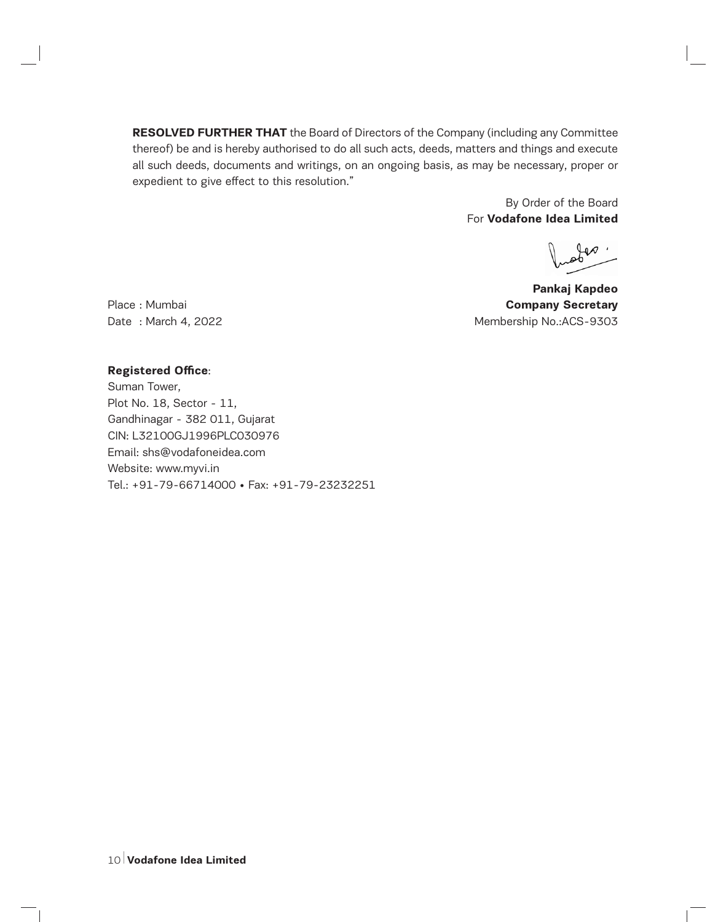**RESOLVED FURTHER THAT** the Board of Directors of the Company (including any Committee thereof) be and is hereby authorised to do all such acts, deeds, matters and things and execute all such deeds, documents and writings, on an ongoing basis, as may be necessary, proper or expedient to give effect to this resolution."

> By Order of the Board For **Vodafone Idea Limited**

**Pankaj Kapdeo**  Place : Mumbai **Company Secretary Company Secretary** Date: March 4, 2022 Membership No.: ACS-9303

#### **Registered Office**:

Suman Tower, Plot No. 18, Sector - 11, Gandhinagar - 382 011, Gujarat CIN: L32100GJ1996PLC030976 Email: shs@vodafoneidea.com Website: www.myvi.in Tel.: +91-79-66714000 • Fax: +91-79-23232251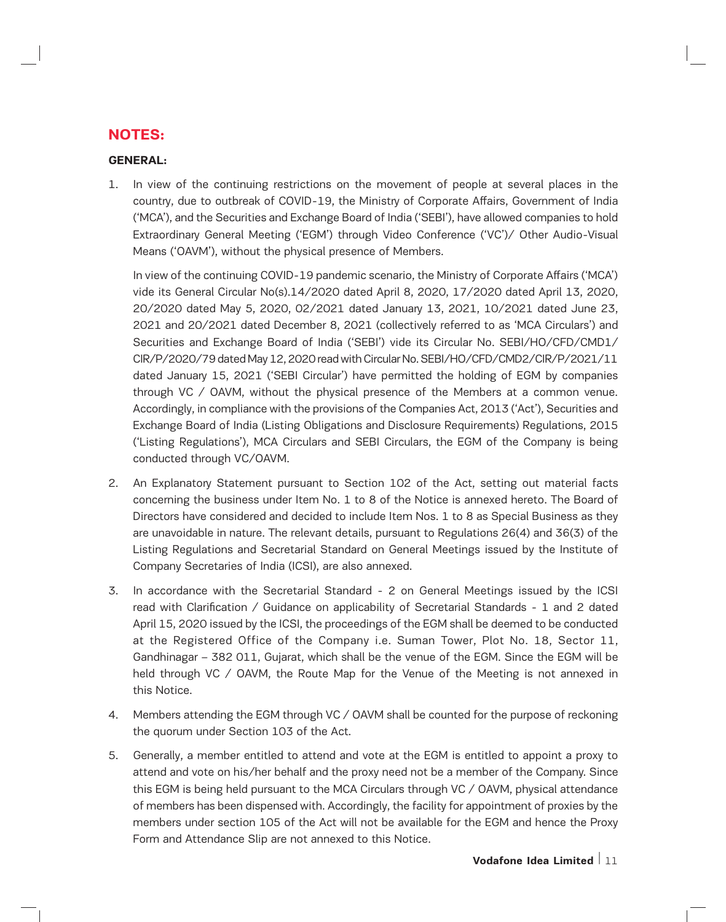# **NOTES:**

# **GENERAL:**

1. In view of the continuing restrictions on the movement of people at several places in the country, due to outbreak of COVID-19, the Ministry of Corporate Affairs, Government of India ('MCA'), and the Securities and Exchange Board of India ('SEBI'), have allowed companies to hold Extraordinary General Meeting ('EGM') through Video Conference ('VC')/ Other Audio-Visual Means ('OAVM'), without the physical presence of Members.

In view of the continuing COVID-19 pandemic scenario, the Ministry of Corporate Affairs ('MCA') vide its General Circular No(s).14/2020 dated April 8, 2020, 17/2020 dated April 13, 2020, 20/2020 dated May 5, 2020, 02/2021 dated January 13, 2021, 10/2021 dated June 23, 2021 and 20/2021 dated December 8, 2021 (collectively referred to as 'MCA Circulars') and Securities and Exchange Board of India ('SEBI') vide its Circular No. SEBI/HO/CFD/CMD1/ CIR/P/2020/79 dated May 12, 2020 read with Circular No. SEBI/HO/CFD/CMD2/CIR/P/2021/11 dated January 15, 2021 ('SEBI Circular') have permitted the holding of EGM by companies through VC / OAVM, without the physical presence of the Members at a common venue. Accordingly, in compliance with the provisions of the Companies Act, 2013 ('Act'), Securities and Exchange Board of India (Listing Obligations and Disclosure Requirements) Regulations, 2015 ('Listing Regulations'), MCA Circulars and SEBI Circulars, the EGM of the Company is being conducted through VC/OAVM.

- 2. An Explanatory Statement pursuant to Section 102 of the Act, setting out material facts concerning the business under Item No. 1 to 8 of the Notice is annexed hereto. The Board of Directors have considered and decided to include Item Nos. 1 to 8 as Special Business as they are unavoidable in nature. The relevant details, pursuant to Regulations 26(4) and 36(3) of the Listing Regulations and Secretarial Standard on General Meetings issued by the Institute of Company Secretaries of India (ICSI), are also annexed.
- 3. In accordance with the Secretarial Standard 2 on General Meetings issued by the ICSI read with Clarification / Guidance on applicability of Secretarial Standards - 1 and 2 dated April 15, 2020 issued by the ICSI, the proceedings of the EGM shall be deemed to be conducted at the Registered Office of the Company i.e. Suman Tower, Plot No. 18, Sector 11, Gandhinagar – 382 011, Gujarat, which shall be the venue of the EGM. Since the EGM will be held through VC / OAVM, the Route Map for the Venue of the Meeting is not annexed in this Notice.
- 4. Members attending the EGM through VC / OAVM shall be counted for the purpose of reckoning the quorum under Section 103 of the Act.
- 5. Generally, a member entitled to attend and vote at the EGM is entitled to appoint a proxy to attend and vote on his/her behalf and the proxy need not be a member of the Company. Since this EGM is being held pursuant to the MCA Circulars through VC / OAVM, physical attendance of members has been dispensed with. Accordingly, the facility for appointment of proxies by the members under section 105 of the Act will not be available for the EGM and hence the Proxy Form and Attendance Slip are not annexed to this Notice.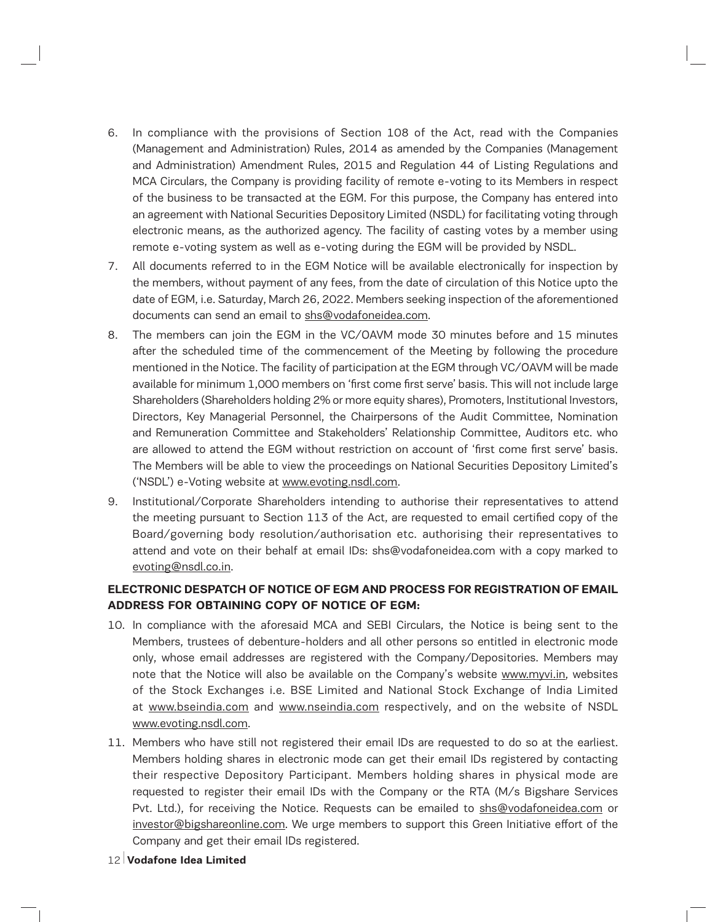- 6. In compliance with the provisions of Section 108 of the Act, read with the Companies (Management and Administration) Rules, 2014 as amended by the Companies (Management and Administration) Amendment Rules, 2015 and Regulation 44 of Listing Regulations and MCA Circulars, the Company is providing facility of remote e-voting to its Members in respect of the business to be transacted at the EGM. For this purpose, the Company has entered into an agreement with National Securities Depository Limited (NSDL) for facilitating voting through electronic means, as the authorized agency. The facility of casting votes by a member using remote e-voting system as well as e-voting during the EGM will be provided by NSDL.
- 7. All documents referred to in the EGM Notice will be available electronically for inspection by the members, without payment of any fees, from the date of circulation of this Notice upto the date of EGM, i.e. Saturday, March 26, 2022. Members seeking inspection of the aforementioned documents can send an email to shs@vodafoneidea.com.
- 8. The members can join the EGM in the VC/OAVM mode 30 minutes before and 15 minutes after the scheduled time of the commencement of the Meeting by following the procedure mentioned in the Notice. The facility of participation at the EGM through VC/OAVM will be made available for minimum 1,000 members on 'first come first serve' basis. This will not include large Shareholders (Shareholders holding 2% or more equity shares), Promoters, Institutional Investors, Directors, Key Managerial Personnel, the Chairpersons of the Audit Committee, Nomination and Remuneration Committee and Stakeholders' Relationship Committee, Auditors etc. who are allowed to attend the EGM without restriction on account of 'first come first serve' basis. The Members will be able to view the proceedings on National Securities Depository Limited's ('NSDL') e-Voting website at www.evoting.nsdl.com.
- 9. Institutional/Corporate Shareholders intending to authorise their representatives to attend the meeting pursuant to Section 113 of the Act, are requested to email certified copy of the Board/governing body resolution/authorisation etc. authorising their representatives to attend and vote on their behalf at email IDs: shs@vodafoneidea.com with a copy marked to evoting@nsdl.co.in.

# **ELECTRONIC DESPATCH OF NOTICE OF EGM AND PROCESS FOR REGISTRATION OF EMAIL ADDRESS FOR OBTAINING COPY OF NOTICE OF EGM:**

- 10. In compliance with the aforesaid MCA and SEBI Circulars, the Notice is being sent to the Members, trustees of debenture-holders and all other persons so entitled in electronic mode only, whose email addresses are registered with the Company/Depositories. Members may note that the Notice will also be available on the Company's website www.myvi.in, websites of the Stock Exchanges i.e. BSE Limited and National Stock Exchange of India Limited at www.bseindia.com and www.nseindia.com respectively, and on the website of NSDL www.evoting.nsdl.com.
- 11. Members who have still not registered their email IDs are requested to do so at the earliest. Members holding shares in electronic mode can get their email IDs registered by contacting their respective Depository Participant. Members holding shares in physical mode are requested to register their email IDs with the Company or the RTA (M/s Bigshare Services Pvt. Ltd.), for receiving the Notice. Requests can be emailed to shs@vodafoneidea.com or investor@bigshareonline.com. We urge members to support this Green Initiative effort of the Company and get their email IDs registered.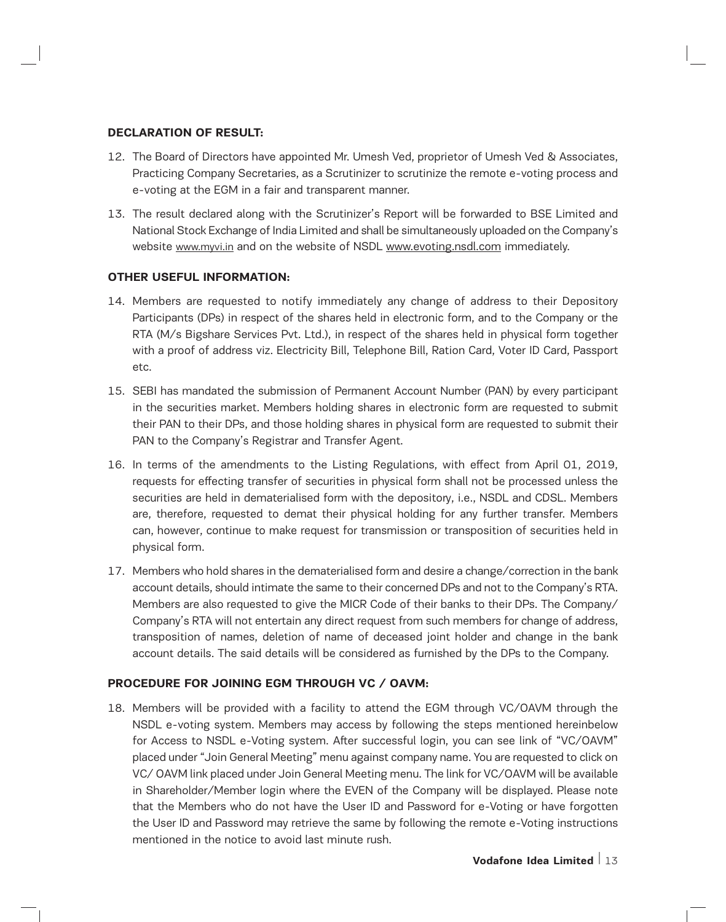## **DECLARATION OF RESULT:**

- 12. The Board of Directors have appointed Mr. Umesh Ved, proprietor of Umesh Ved & Associates, Practicing Company Secretaries, as a Scrutinizer to scrutinize the remote e-voting process and e-voting at the EGM in a fair and transparent manner.
- 13. The result declared along with the Scrutinizer's Report will be forwarded to BSE Limited and National Stock Exchange of India Limited and shall be simultaneously uploaded on the Company's website www.myvi.in and on the website of NSDL www.evoting.nsdl.com immediately.

## **OTHER USEFUL INFORMATION:**

- 14. Members are requested to notify immediately any change of address to their Depository Participants (DPs) in respect of the shares held in electronic form, and to the Company or the RTA (M/s Bigshare Services Pvt. Ltd.), in respect of the shares held in physical form together with a proof of address viz. Electricity Bill, Telephone Bill, Ration Card, Voter ID Card, Passport etc.
- 15. SEBI has mandated the submission of Permanent Account Number (PAN) by every participant in the securities market. Members holding shares in electronic form are requested to submit their PAN to their DPs, and those holding shares in physical form are requested to submit their PAN to the Company's Registrar and Transfer Agent.
- 16. In terms of the amendments to the Listing Regulations, with effect from April 01, 2019, requests for effecting transfer of securities in physical form shall not be processed unless the securities are held in dematerialised form with the depository, i.e., NSDL and CDSL. Members are, therefore, requested to demat their physical holding for any further transfer. Members can, however, continue to make request for transmission or transposition of securities held in physical form.
- 17. Members who hold shares in the dematerialised form and desire a change/correction in the bank account details, should intimate the same to their concerned DPs and not to the Company's RTA. Members are also requested to give the MICR Code of their banks to their DPs. The Company/ Company's RTA will not entertain any direct request from such members for change of address, transposition of names, deletion of name of deceased joint holder and change in the bank account details. The said details will be considered as furnished by the DPs to the Company.

# **PROCEDURE FOR JOINING EGM THROUGH VC / OAVM:**

18. Members will be provided with a facility to attend the EGM through VC/OAVM through the NSDL e-voting system. Members may access by following the steps mentioned hereinbelow for Access to NSDL e-Voting system. After successful login, you can see link of "VC/OAVM" placed under "Join General Meeting" menu against company name. You are requested to click on VC/ OAVM link placed under Join General Meeting menu. The link for VC/OAVM will be available in Shareholder/Member login where the EVEN of the Company will be displayed. Please note that the Members who do not have the User ID and Password for e-Voting or have forgotten the User ID and Password may retrieve the same by following the remote e-Voting instructions mentioned in the notice to avoid last minute rush.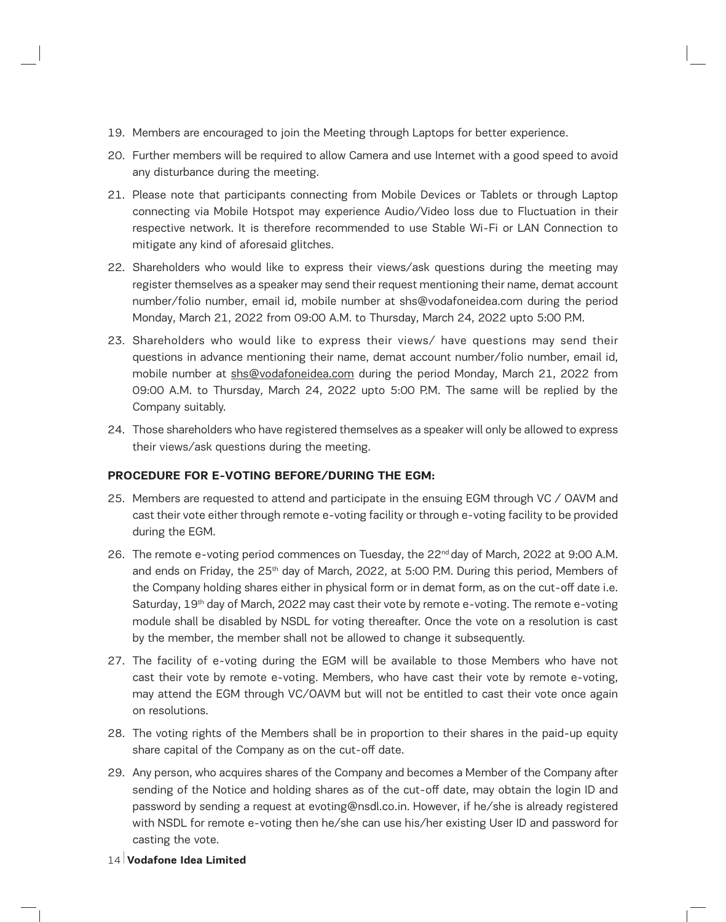- 19. Members are encouraged to join the Meeting through Laptops for better experience.
- 20. Further members will be required to allow Camera and use Internet with a good speed to avoid any disturbance during the meeting.
- 21. Please note that participants connecting from Mobile Devices or Tablets or through Laptop connecting via Mobile Hotspot may experience Audio/Video loss due to Fluctuation in their respective network. It is therefore recommended to use Stable Wi-Fi or LAN Connection to mitigate any kind of aforesaid glitches.
- 22. Shareholders who would like to express their views/ask questions during the meeting may register themselves as a speaker may send their request mentioning their name, demat account number/folio number, email id, mobile number at shs@vodafoneidea.com during the period Monday, March 21, 2022 from 09:00 A.M. to Thursday, March 24, 2022 upto 5:00 P.M.
- 23. Shareholders who would like to express their views/ have questions may send their questions in advance mentioning their name, demat account number/folio number, email id, mobile number at shs@vodafoneidea.com during the period Monday, March 21, 2022 from 09:00 A.M. to Thursday, March 24, 2022 upto 5:00 P.M. The same will be replied by the Company suitably.
- 24. Those shareholders who have registered themselves as a speaker will only be allowed to express their views/ask questions during the meeting.

# **PROCEDURE FOR E-VOTING BEFORE/DURING THE EGM:**

- 25. Members are requested to attend and participate in the ensuing EGM through VC / OAVM and cast their vote either through remote e-voting facility or through e-voting facility to be provided during the EGM.
- 26. The remote e-voting period commences on Tuesday, the  $22<sup>nd</sup>$  day of March, 2022 at 9:00 A.M. and ends on Friday, the 25<sup>th</sup> day of March, 2022, at 5:00 P.M. During this period, Members of the Company holding shares either in physical form or in demat form, as on the cut-off date i.e. Saturday,  $19<sup>th</sup>$  day of March, 2022 may cast their vote by remote e-voting. The remote e-voting module shall be disabled by NSDL for voting thereafter. Once the vote on a resolution is cast by the member, the member shall not be allowed to change it subsequently.
- 27. The facility of e-voting during the EGM will be available to those Members who have not cast their vote by remote e-voting. Members, who have cast their vote by remote e-voting, may attend the EGM through VC/OAVM but will not be entitled to cast their vote once again on resolutions.
- 28. The voting rights of the Members shall be in proportion to their shares in the paid-up equity share capital of the Company as on the cut-off date.
- 29. Any person, who acquires shares of the Company and becomes a Member of the Company after sending of the Notice and holding shares as of the cut-off date, may obtain the login ID and password by sending a request at evoting@nsdl.co.in. However, if he/she is already registered with NSDL for remote e-voting then he/she can use his/her existing User ID and password for casting the vote.
- 14 **Vodafone Idea Limited**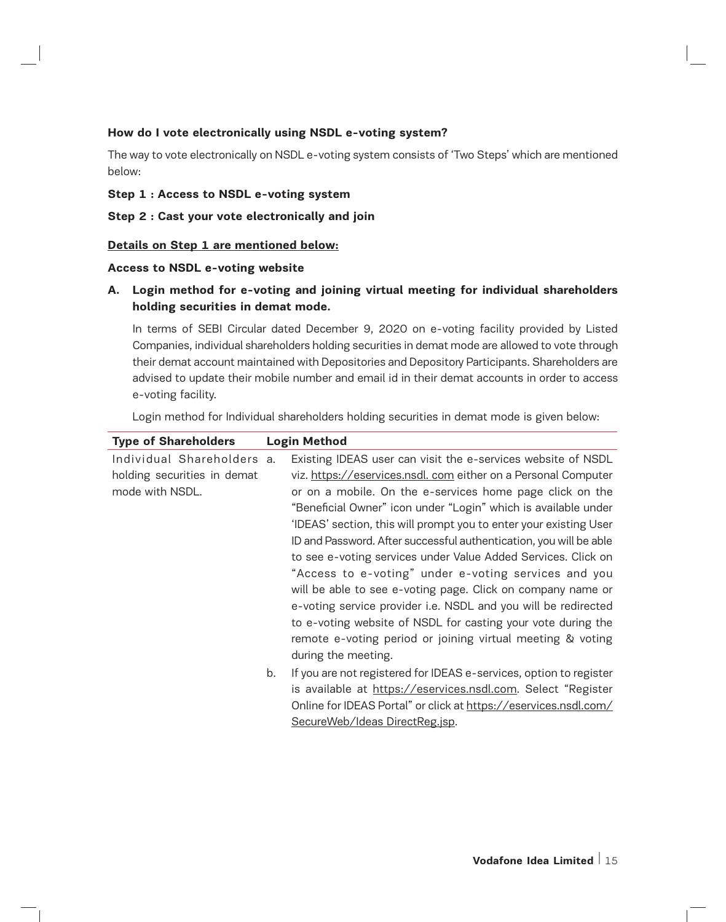# **How do I vote electronically using NSDL e-voting system?**

The way to vote electronically on NSDL e-voting system consists of 'Two Steps' which are mentioned below:

## **Step 1 : Access to NSDL e-voting system**

## **Step 2 : Cast your vote electronically and join**

## **Details on Step 1 are mentioned below:**

#### **Access to NSDL e-voting website**

**A. Login method for e-voting and joining virtual meeting for individual shareholders holding securities in demat mode.**

In terms of SEBI Circular dated December 9, 2020 on e-voting facility provided by Listed Companies, individual shareholders holding securities in demat mode are allowed to vote through their demat account maintained with Depositories and Depository Participants. Shareholders are advised to update their mobile number and email id in their demat accounts in order to access e-voting facility.

Login method for Individual shareholders holding securities in demat mode is given below:

| <b>Type of Shareholders</b>                                                  |    | <b>Login Method</b>                                                                                                                                                                                                                                                                                                                                                                                                                                                                                                                                                                                                                                                                                                                                                                             |
|------------------------------------------------------------------------------|----|-------------------------------------------------------------------------------------------------------------------------------------------------------------------------------------------------------------------------------------------------------------------------------------------------------------------------------------------------------------------------------------------------------------------------------------------------------------------------------------------------------------------------------------------------------------------------------------------------------------------------------------------------------------------------------------------------------------------------------------------------------------------------------------------------|
| Individual Shareholders a.<br>holding securities in demat<br>mode with NSDL. |    | Existing IDEAS user can visit the e-services website of NSDL<br>viz. https://eservices.nsdl. com either on a Personal Computer<br>or on a mobile. On the e-services home page click on the<br>"Beneficial Owner" icon under "Login" which is available under<br>'IDEAS' section, this will prompt you to enter your existing User<br>ID and Password. After successful authentication, you will be able<br>to see e-voting services under Value Added Services. Click on<br>"Access to e-voting" under e-voting services and you<br>will be able to see e-voting page. Click on company name or<br>e-voting service provider i.e. NSDL and you will be redirected<br>to e-voting website of NSDL for casting your vote during the<br>remote e-voting period or joining virtual meeting & voting |
|                                                                              | b. | during the meeting.<br>If you are not registered for IDEAS e-services, option to register<br>is available at https://eservices.nsdl.com. Select "Register<br>Online for IDEAS Portal" or click at https://eservices.nsdl.com/<br>SecureWeb/Ideas DirectReg.jsp.                                                                                                                                                                                                                                                                                                                                                                                                                                                                                                                                 |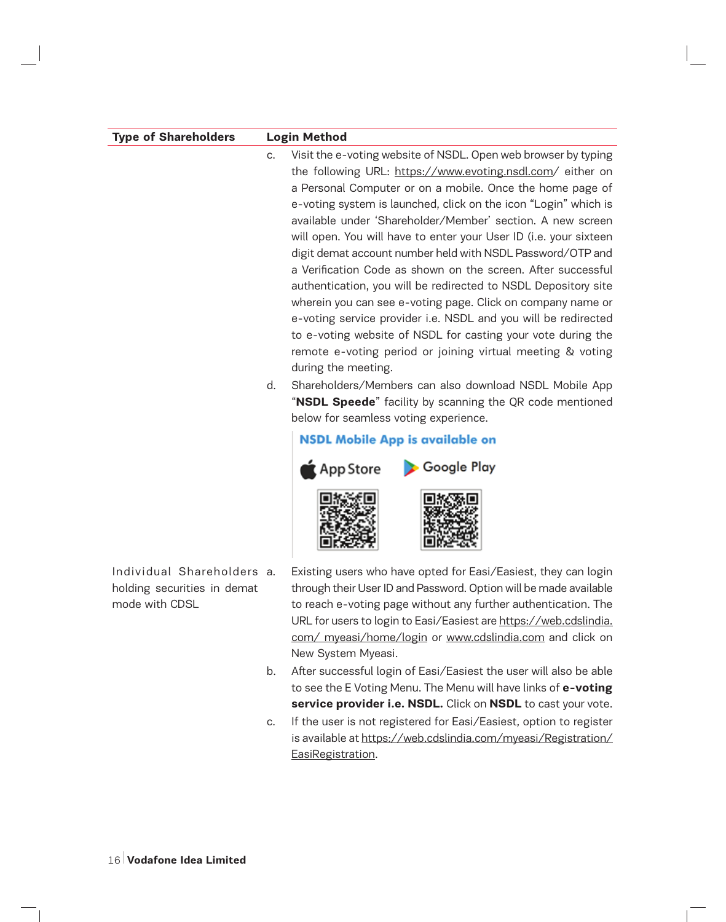| <b>Type of Shareholders</b>                                                 |          | <b>Login Method</b>                                                                                                                                                                                                                                                                                                                                                                                                                                                                                                                                                                                                                                                                                                                                                                                                                                                                                                                                                                                                                                                                                                        |
|-----------------------------------------------------------------------------|----------|----------------------------------------------------------------------------------------------------------------------------------------------------------------------------------------------------------------------------------------------------------------------------------------------------------------------------------------------------------------------------------------------------------------------------------------------------------------------------------------------------------------------------------------------------------------------------------------------------------------------------------------------------------------------------------------------------------------------------------------------------------------------------------------------------------------------------------------------------------------------------------------------------------------------------------------------------------------------------------------------------------------------------------------------------------------------------------------------------------------------------|
|                                                                             | C.<br>d. | Visit the e-voting website of NSDL. Open web browser by typing<br>the following URL: https://www.evoting.nsdl.com/ either on<br>a Personal Computer or on a mobile. Once the home page of<br>e-voting system is launched, click on the icon "Login" which is<br>available under 'Shareholder/Member' section. A new screen<br>will open. You will have to enter your User ID (i.e. your sixteen<br>digit demat account number held with NSDL Password/OTP and<br>a Verification Code as shown on the screen. After successful<br>authentication, you will be redirected to NSDL Depository site<br>wherein you can see e-voting page. Click on company name or<br>e-voting service provider i.e. NSDL and you will be redirected<br>to e-voting website of NSDL for casting your vote during the<br>remote e-voting period or joining virtual meeting & voting<br>during the meeting.<br>Shareholders/Members can also download NSDL Mobile App<br>"NSDL Speede" facility by scanning the QR code mentioned<br>below for seamless voting experience.<br><b>NSDL Mobile App is available on</b><br>Google Play<br>App Store |
| Individual Shareholders a.<br>holding securities in demat<br>mode with CDSL |          | Existing users who have opted for Easi/Easiest, they can login<br>through their User ID and Password. Option will be made available<br>to reach e-voting page without any further authentication. The<br>URL for users to login to Easi/Easiest are https://web.cdslindia.<br>com/ myeasi/home/login or www.cdslindia.com and click on                                                                                                                                                                                                                                                                                                                                                                                                                                                                                                                                                                                                                                                                                                                                                                                     |

New System Myeasi.

- b. After successful login of Easi/Easiest the user will also be able to see the E Voting Menu. The Menu will have links of **e-voting service provider i.e. NSDL.** Click on **NSDL** to cast your vote.
- c. If the user is not registered for Easi/Easiest, option to register is available at https://web.cdslindia.com/myeasi/Registration/ EasiRegistration.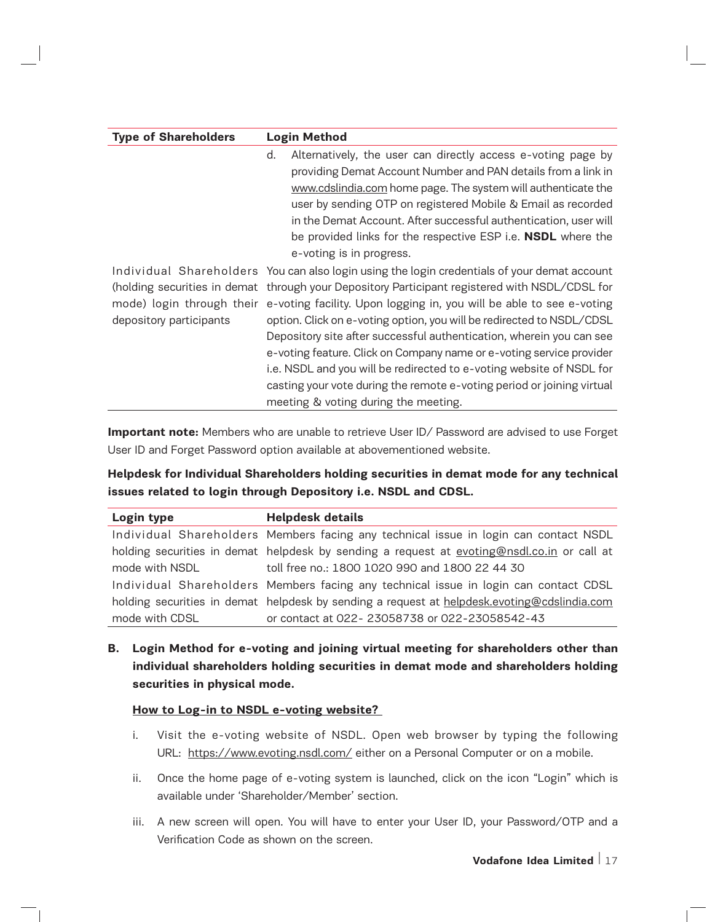| <b>Type of Shareholders</b> | <b>Login Method</b>                                                                                                                                                                                                                                                                                                                                                                                                                                                                                                                                                                                                                                                                                                 |
|-----------------------------|---------------------------------------------------------------------------------------------------------------------------------------------------------------------------------------------------------------------------------------------------------------------------------------------------------------------------------------------------------------------------------------------------------------------------------------------------------------------------------------------------------------------------------------------------------------------------------------------------------------------------------------------------------------------------------------------------------------------|
|                             | Alternatively, the user can directly access e-voting page by<br>d.<br>providing Demat Account Number and PAN details from a link in<br>www.cdslindia.com home page. The system will authenticate the<br>user by sending OTP on registered Mobile & Email as recorded<br>in the Demat Account. After successful authentication, user will<br>be provided links for the respective ESP i.e. <b>NSDL</b> where the<br>e-voting is in progress.                                                                                                                                                                                                                                                                         |
| depository participants     | Individual Shareholders You can also login using the login credentials of your demat account<br>(holding securities in demat through your Depository Participant registered with NSDL/CDSL for<br>mode) login through their e-voting facility. Upon logging in, you will be able to see e-voting<br>option. Click on e-voting option, you will be redirected to NSDL/CDSL<br>Depository site after successful authentication, wherein you can see<br>e-voting feature. Click on Company name or e-voting service provider<br>i.e. NSDL and you will be redirected to e-voting website of NSDL for<br>casting your vote during the remote e-voting period or joining virtual<br>meeting & voting during the meeting. |

**Important note:** Members who are unable to retrieve User ID/ Password are advised to use Forget User ID and Forget Password option available at abovementioned website.

# **Helpdesk for Individual Shareholders holding securities in demat mode for any technical issues related to login through Depository i.e. NSDL and CDSL.**

| Login type     | <b>Helpdesk details</b>                                                                     |  |  |  |
|----------------|---------------------------------------------------------------------------------------------|--|--|--|
|                | Individual Shareholders Members facing any technical issue in login can contact NSDL        |  |  |  |
|                | holding securities in demat helpdesk by sending a request at evoting@nsdl.co.in or call at  |  |  |  |
| mode with NSDL | toll free no.: 1800 1020 990 and 1800 22 44 30                                              |  |  |  |
|                | Individual Shareholders Members facing any technical issue in login can contact CDSL        |  |  |  |
|                | holding securities in demat helpdesk by sending a request at helpdesk.evoting@cdslindia.com |  |  |  |
| mode with CDSL | or contact at 022-23058738 or 022-23058542-43                                               |  |  |  |

**B. Login Method for e-voting and joining virtual meeting for shareholders other than individual shareholders holding securities in demat mode and shareholders holding securities in physical mode.** 

#### **How to Log-in to NSDL e-voting website?**

- i. Visit the e-voting website of NSDL. Open web browser by typing the following URL: https://www.evoting.nsdl.com/ either on a Personal Computer or on a mobile.
- ii. Once the home page of e-voting system is launched, click on the icon "Login" which is available under 'Shareholder/Member' section.
- iii. A new screen will open. You will have to enter your User ID, your Password/OTP and a Verification Code as shown on the screen.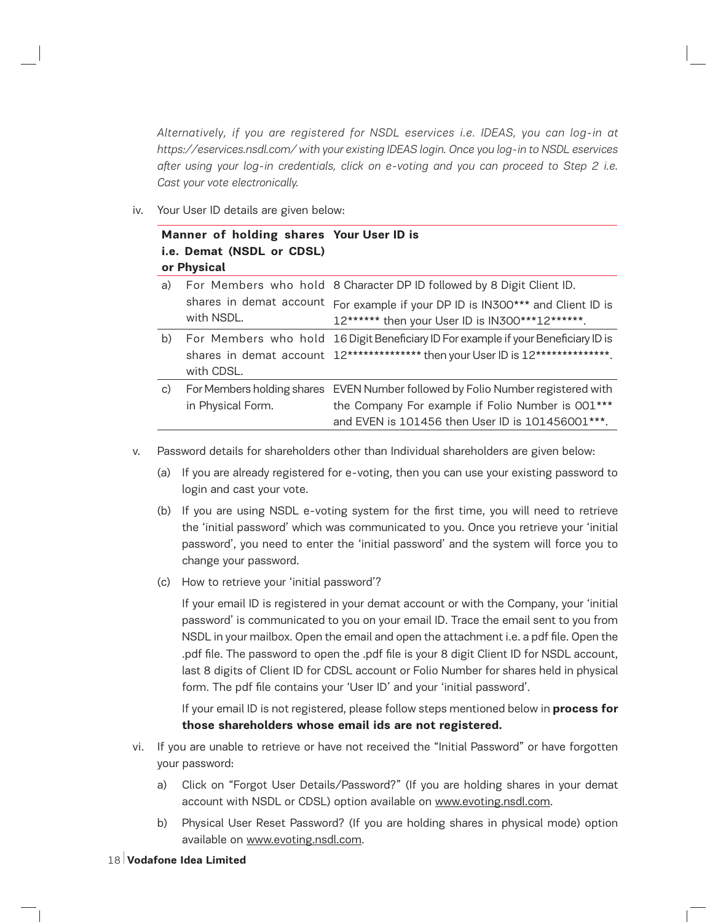*Alternatively, if you are registered for NSDL eservices i.e. IDEAS, you can log-in at https://eservices.nsdl.com/ with your existing IDEAS login. Once you log-in to NSDL eservices after using your log-in credentials, click on e-voting and you can proceed to Step 2 i.e. Cast your vote electronically.* 

iv. Your User ID details are given below:

| Manner of holding shares Your User ID is<br>i.e. Demat (NSDL or CDSL)<br>or Physical |                                       |                                                                                                                                                                                          |
|--------------------------------------------------------------------------------------|---------------------------------------|------------------------------------------------------------------------------------------------------------------------------------------------------------------------------------------|
| a)                                                                                   |                                       | For Members who hold 8 Character DP ID followed by 8 Digit Client ID.                                                                                                                    |
|                                                                                      | shares in demat account<br>with NSDL. | For example if your DP ID is IN300*** and Client ID is<br>12****** then your User ID is IN300***12******.                                                                                |
| b)                                                                                   | with CDSL.                            | For Members who hold 16 Digit Beneficiary ID For example if your Beneficiary ID is<br>shares in demat account 12************** then your User ID is 12***************.                   |
| C)                                                                                   | in Physical Form.                     | For Members holding shares EVEN Number followed by Folio Number registered with<br>the Company For example if Folio Number is 001***<br>and EVEN is 101456 then User ID is 101456001***. |

- v. Password details for shareholders other than Individual shareholders are given below:
	- (a) If you are already registered for e-voting, then you can use your existing password to login and cast your vote.
	- (b) If you are using NSDL e-voting system for the first time, you will need to retrieve the 'initial password' which was communicated to you. Once you retrieve your 'initial password', you need to enter the 'initial password' and the system will force you to change your password.
	- (c) How to retrieve your 'initial password'?

If your email ID is registered in your demat account or with the Company, your 'initial password' is communicated to you on your email ID. Trace the email sent to you from NSDL in your mailbox. Open the email and open the attachment i.e. a pdf file. Open the .pdf file. The password to open the .pdf file is your 8 digit Client ID for NSDL account, last 8 digits of Client ID for CDSL account or Folio Number for shares held in physical form. The pdf file contains your 'User ID' and your 'initial password'.

If your email ID is not registered, please follow steps mentioned below in **process for those shareholders whose email ids are not registered.**

- vi. If you are unable to retrieve or have not received the "Initial Password" or have forgotten your password:
	- a) Click on "Forgot User Details/Password?" (If you are holding shares in your demat account with NSDL or CDSL) option available on www.evoting.nsdl.com.
	- b) Physical User Reset Password? (If you are holding shares in physical mode) option available on www.evoting.nsdl.com.
- 18 **Vodafone Idea Limited**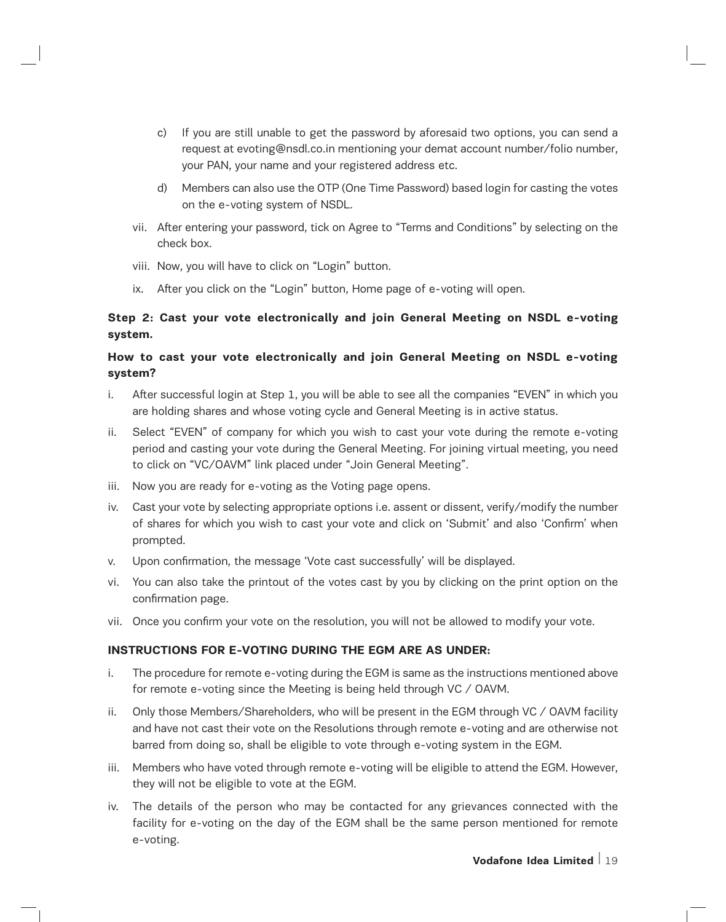- c) If you are still unable to get the password by aforesaid two options, you can send a request at evoting@nsdl.co.in mentioning your demat account number/folio number, your PAN, your name and your registered address etc.
- d) Members can also use the OTP (One Time Password) based login for casting the votes on the e-voting system of NSDL.
- vii. After entering your password, tick on Agree to "Terms and Conditions" by selecting on the check box.
- viii. Now, you will have to click on "Login" button.
- ix. After you click on the "Login" button, Home page of e-voting will open.

# **Step 2: Cast your vote electronically and join General Meeting on NSDL e-voting system.**

# **How to cast your vote electronically and join General Meeting on NSDL e-voting system?**

- i. After successful login at Step 1, you will be able to see all the companies "EVEN" in which you are holding shares and whose voting cycle and General Meeting is in active status.
- ii. Select "EVEN" of company for which you wish to cast your vote during the remote e-voting period and casting your vote during the General Meeting. For joining virtual meeting, you need to click on "VC/OAVM" link placed under "Join General Meeting".
- iii. Now you are ready for e-voting as the Voting page opens.
- iv. Cast your vote by selecting appropriate options i.e. assent or dissent, verify/modify the number of shares for which you wish to cast your vote and click on 'Submit' and also 'Confirm' when prompted.
- v. Upon confirmation, the message 'Vote cast successfully' will be displayed.
- vi. You can also take the printout of the votes cast by you by clicking on the print option on the confirmation page.
- vii. Once you confirm your vote on the resolution, you will not be allowed to modify your vote.

# **INSTRUCTIONS FOR E-VOTING DURING THE EGM ARE AS UNDER:**

- i. The procedure for remote e-voting during the EGM is same as the instructions mentioned above for remote e-voting since the Meeting is being held through VC / OAVM.
- ii. Only those Members/Shareholders, who will be present in the EGM through VC / OAVM facility and have not cast their vote on the Resolutions through remote e-voting and are otherwise not barred from doing so, shall be eligible to vote through e-voting system in the EGM.
- iii. Members who have voted through remote e-voting will be eligible to attend the EGM. However, they will not be eligible to vote at the EGM.
- iv. The details of the person who may be contacted for any grievances connected with the facility for e-voting on the day of the EGM shall be the same person mentioned for remote e-voting.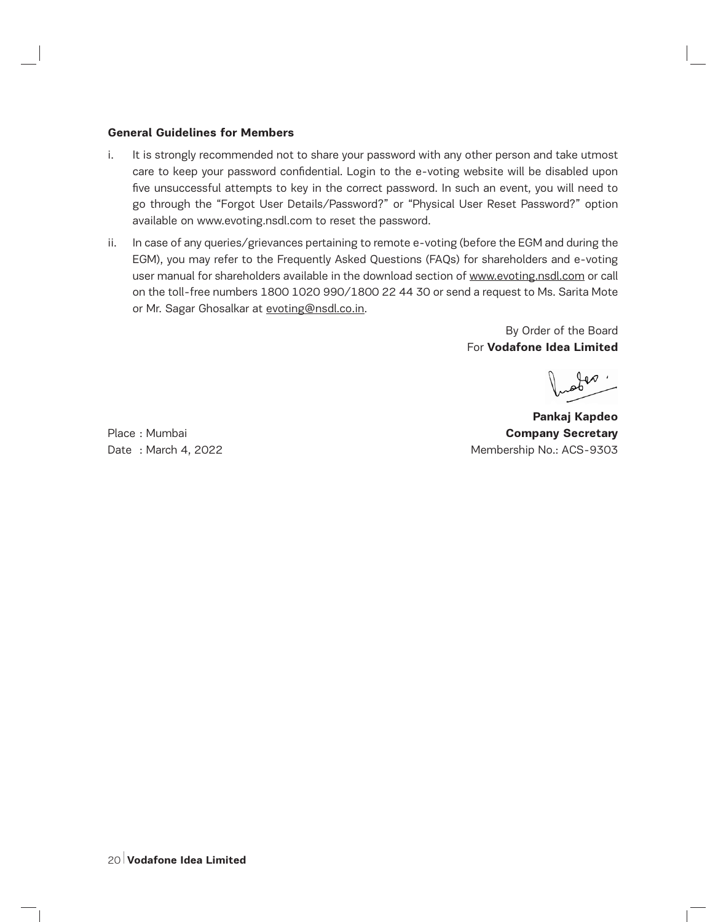### **General Guidelines for Members**

- i. It is strongly recommended not to share your password with any other person and take utmost care to keep your password confidential. Login to the e-voting website will be disabled upon five unsuccessful attempts to key in the correct password. In such an event, you will need to go through the "Forgot User Details/Password?" or "Physical User Reset Password?" option available on www.evoting.nsdl.com to reset the password.
- ii. In case of any queries/grievances pertaining to remote e-voting (before the EGM and during the EGM), you may refer to the Frequently Asked Questions (FAQs) for shareholders and e-voting user manual for shareholders available in the download section of www.evoting.nsdl.com or call on the toll-free numbers 1800 1020 990/1800 22 44 30 or send a request to Ms. Sarita Mote or Mr. Sagar Ghosalkar at evoting@nsdl.co.in.

By Order of the Board For **Vodafone Idea Limited**

**Pankaj Kapdeo**  Place : Mumbai **Company Secretary Company Secretary** Date : March 4, 2022 **Membership No.: ACS-9303**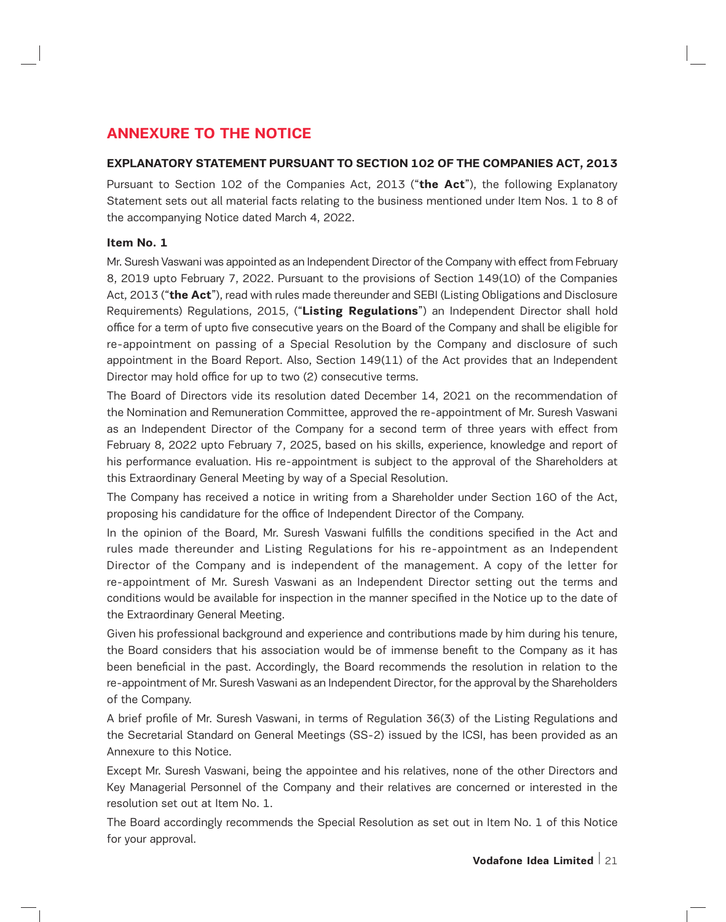# **ANNEXURE TO THE NOTICE**

## **EXPLANATORY STATEMENT PURSUANT TO SECTION 102 OF THE COMPANIES ACT, 2013**

Pursuant to Section 102 of the Companies Act, 2013 ("**the Act**"), the following Explanatory Statement sets out all material facts relating to the business mentioned under Item Nos. 1 to 8 of the accompanying Notice dated March 4, 2022.

### **Item No. 1**

Mr. Suresh Vaswani was appointed as an Independent Director of the Company with effect from February 8, 2019 upto February 7, 2022. Pursuant to the provisions of Section 149(10) of the Companies Act, 2013 ("**the Act**"), read with rules made thereunder and SEBI (Listing Obligations and Disclosure Requirements) Regulations, 2015, ("**Listing Regulations**") an Independent Director shall hold office for a term of upto five consecutive years on the Board of the Company and shall be eligible for re-appointment on passing of a Special Resolution by the Company and disclosure of such appointment in the Board Report. Also, Section 149(11) of the Act provides that an Independent Director may hold office for up to two (2) consecutive terms.

The Board of Directors vide its resolution dated December 14, 2021 on the recommendation of the Nomination and Remuneration Committee, approved the re-appointment of Mr. Suresh Vaswani as an Independent Director of the Company for a second term of three years with effect from February 8, 2022 upto February 7, 2025, based on his skills, experience, knowledge and report of his performance evaluation. His re-appointment is subject to the approval of the Shareholders at this Extraordinary General Meeting by way of a Special Resolution.

The Company has received a notice in writing from a Shareholder under Section 160 of the Act, proposing his candidature for the office of Independent Director of the Company.

In the opinion of the Board, Mr. Suresh Vaswani fulfills the conditions specified in the Act and rules made thereunder and Listing Regulations for his re-appointment as an Independent Director of the Company and is independent of the management. A copy of the letter for re-appointment of Mr. Suresh Vaswani as an Independent Director setting out the terms and conditions would be available for inspection in the manner specified in the Notice up to the date of the Extraordinary General Meeting.

Given his professional background and experience and contributions made by him during his tenure, the Board considers that his association would be of immense benefit to the Company as it has been beneficial in the past. Accordingly, the Board recommends the resolution in relation to the re-appointment of Mr. Suresh Vaswani as an Independent Director, for the approval by the Shareholders of the Company.

A brief profile of Mr. Suresh Vaswani, in terms of Regulation 36(3) of the Listing Regulations and the Secretarial Standard on General Meetings (SS-2) issued by the ICSI, has been provided as an Annexure to this Notice.

Except Mr. Suresh Vaswani, being the appointee and his relatives, none of the other Directors and Key Managerial Personnel of the Company and their relatives are concerned or interested in the resolution set out at Item No. 1.

The Board accordingly recommends the Special Resolution as set out in Item No. 1 of this Notice for your approval.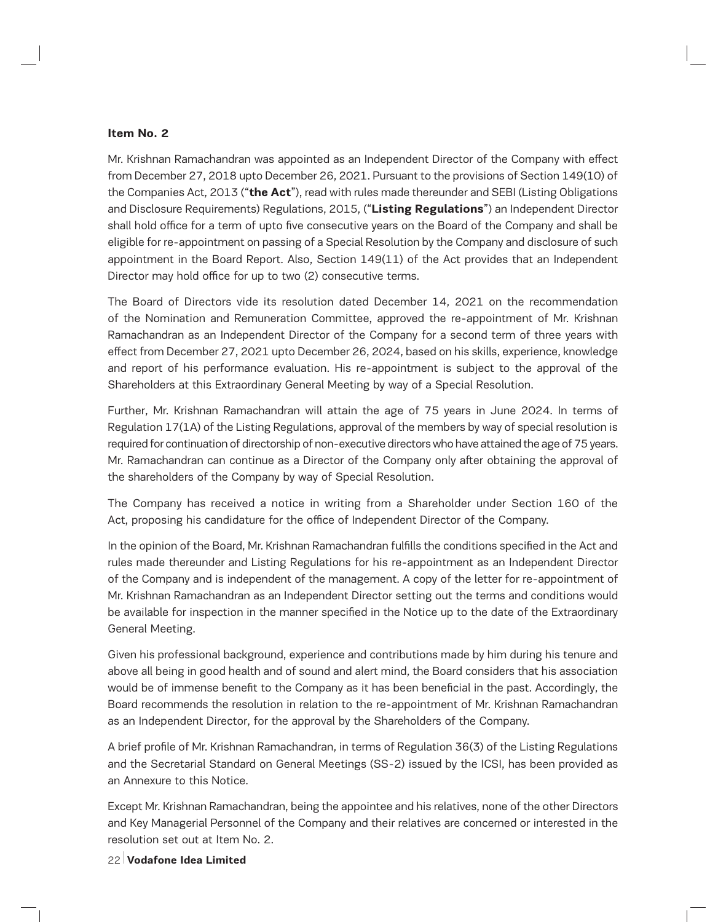## **Item No. 2**

Mr. Krishnan Ramachandran was appointed as an Independent Director of the Company with effect from December 27, 2018 upto December 26, 2021. Pursuant to the provisions of Section 149(10) of the Companies Act, 2013 ("**the Act**"), read with rules made thereunder and SEBI (Listing Obligations and Disclosure Requirements) Regulations, 2015, ("**Listing Regulations**") an Independent Director shall hold office for a term of upto five consecutive years on the Board of the Company and shall be eligible for re-appointment on passing of a Special Resolution by the Company and disclosure of such appointment in the Board Report. Also, Section 149(11) of the Act provides that an Independent Director may hold office for up to two (2) consecutive terms.

The Board of Directors vide its resolution dated December 14, 2021 on the recommendation of the Nomination and Remuneration Committee, approved the re-appointment of Mr. Krishnan Ramachandran as an Independent Director of the Company for a second term of three years with effect from December 27, 2021 upto December 26, 2024, based on his skills, experience, knowledge and report of his performance evaluation. His re-appointment is subject to the approval of the Shareholders at this Extraordinary General Meeting by way of a Special Resolution.

Further, Mr. Krishnan Ramachandran will attain the age of 75 years in June 2024. In terms of Regulation 17(1A) of the Listing Regulations, approval of the members by way of special resolution is required for continuation of directorship of non-executive directors who have attained the age of 75 years. Mr. Ramachandran can continue as a Director of the Company only after obtaining the approval of the shareholders of the Company by way of Special Resolution.

The Company has received a notice in writing from a Shareholder under Section 160 of the Act, proposing his candidature for the office of Independent Director of the Company.

In the opinion of the Board, Mr. Krishnan Ramachandran fulfills the conditions specified in the Act and rules made thereunder and Listing Regulations for his re-appointment as an Independent Director of the Company and is independent of the management. A copy of the letter for re-appointment of Mr. Krishnan Ramachandran as an Independent Director setting out the terms and conditions would be available for inspection in the manner specified in the Notice up to the date of the Extraordinary General Meeting.

Given his professional background, experience and contributions made by him during his tenure and above all being in good health and of sound and alert mind, the Board considers that his association would be of immense benefit to the Company as it has been beneficial in the past. Accordingly, the Board recommends the resolution in relation to the re-appointment of Mr. Krishnan Ramachandran as an Independent Director, for the approval by the Shareholders of the Company.

A brief profile of Mr. Krishnan Ramachandran, in terms of Regulation 36(3) of the Listing Regulations and the Secretarial Standard on General Meetings (SS-2) issued by the ICSI, has been provided as an Annexure to this Notice.

Except Mr. Krishnan Ramachandran, being the appointee and his relatives, none of the other Directors and Key Managerial Personnel of the Company and their relatives are concerned or interested in the resolution set out at Item No. 2.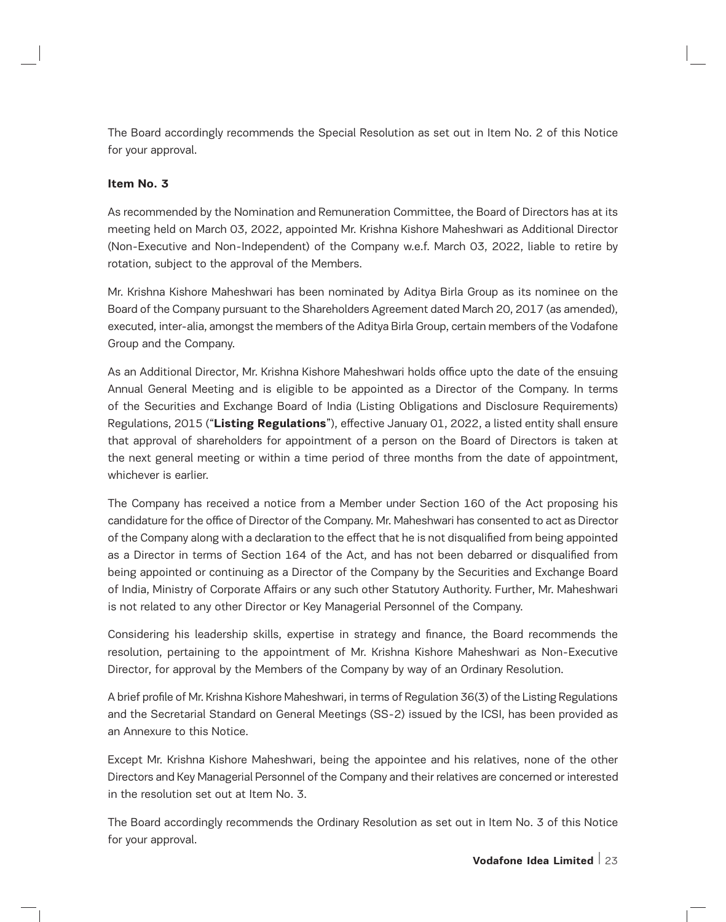The Board accordingly recommends the Special Resolution as set out in Item No. 2 of this Notice for your approval.

## **Item No. 3**

As recommended by the Nomination and Remuneration Committee, the Board of Directors has at its meeting held on March 03, 2022, appointed Mr. Krishna Kishore Maheshwari as Additional Director (Non-Executive and Non-Independent) of the Company w.e.f. March 03, 2022, liable to retire by rotation, subject to the approval of the Members.

Mr. Krishna Kishore Maheshwari has been nominated by Aditya Birla Group as its nominee on the Board of the Company pursuant to the Shareholders Agreement dated March 20, 2017 (as amended), executed, inter-alia, amongst the members of the Aditya Birla Group, certain members of the Vodafone Group and the Company.

As an Additional Director, Mr. Krishna Kishore Maheshwari holds office upto the date of the ensuing Annual General Meeting and is eligible to be appointed as a Director of the Company. In terms of the Securities and Exchange Board of India (Listing Obligations and Disclosure Requirements) Regulations, 2015 ("**Listing Regulations**"), effective January 01, 2022, a listed entity shall ensure that approval of shareholders for appointment of a person on the Board of Directors is taken at the next general meeting or within a time period of three months from the date of appointment, whichever is earlier.

The Company has received a notice from a Member under Section 160 of the Act proposing his candidature for the office of Director of the Company. Mr. Maheshwari has consented to act as Director of the Company along with a declaration to the effect that he is not disqualified from being appointed as a Director in terms of Section 164 of the Act, and has not been debarred or disqualified from being appointed or continuing as a Director of the Company by the Securities and Exchange Board of India, Ministry of Corporate Affairs or any such other Statutory Authority. Further, Mr. Maheshwari is not related to any other Director or Key Managerial Personnel of the Company.

Considering his leadership skills, expertise in strategy and finance, the Board recommends the resolution, pertaining to the appointment of Mr. Krishna Kishore Maheshwari as Non-Executive Director, for approval by the Members of the Company by way of an Ordinary Resolution.

A brief profile of Mr. Krishna Kishore Maheshwari, in terms of Regulation 36(3) of the Listing Regulations and the Secretarial Standard on General Meetings (SS-2) issued by the ICSI, has been provided as an Annexure to this Notice.

Except Mr. Krishna Kishore Maheshwari, being the appointee and his relatives, none of the other Directors and Key Managerial Personnel of the Company and their relatives are concerned or interested in the resolution set out at Item No. 3.

The Board accordingly recommends the Ordinary Resolution as set out in Item No. 3 of this Notice for your approval.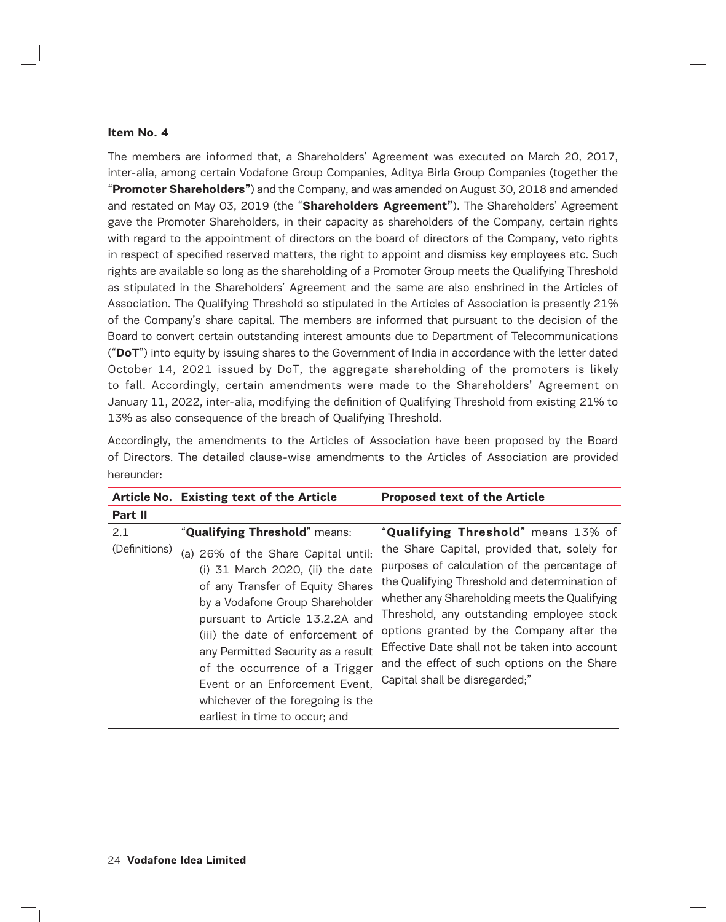#### **Item No. 4**

The members are informed that, a Shareholders' Agreement was executed on March 20, 2017, inter-alia, among certain Vodafone Group Companies, Aditya Birla Group Companies (together the "**Promoter Shareholders"**) and the Company, and was amended on August 30, 2018 and amended and restated on May 03, 2019 (the "**Shareholders Agreement"**). The Shareholders' Agreement gave the Promoter Shareholders, in their capacity as shareholders of the Company, certain rights with regard to the appointment of directors on the board of directors of the Company, veto rights in respect of specified reserved matters, the right to appoint and dismiss key employees etc. Such rights are available so long as the shareholding of a Promoter Group meets the Qualifying Threshold as stipulated in the Shareholders' Agreement and the same are also enshrined in the Articles of Association. The Qualifying Threshold so stipulated in the Articles of Association is presently 21% of the Company's share capital. The members are informed that pursuant to the decision of the Board to convert certain outstanding interest amounts due to Department of Telecommunications ("**DoT**") into equity by issuing shares to the Government of India in accordance with the letter dated October 14, 2021 issued by DoT, the aggregate shareholding of the promoters is likely to fall. Accordingly, certain amendments were made to the Shareholders' Agreement on January 11, 2022, inter-alia, modifying the definition of Qualifying Threshold from existing 21% to 13% as also consequence of the breach of Qualifying Threshold.

| Accordingly, the amendments to the Articles of Association have been proposed by the Board    |  |  |  |  |  |  |  |
|-----------------------------------------------------------------------------------------------|--|--|--|--|--|--|--|
| of Directors. The detailed clause-wise amendments to the Articles of Association are provided |  |  |  |  |  |  |  |
| hereunder:                                                                                    |  |  |  |  |  |  |  |

|                      | Article No. Existing text of the Article                                                                                                                                                                                                                                                                                                                                                                                                | <b>Proposed text of the Article</b>                                                                                                                                                                                                                                                                                                                                                                                                                               |
|----------------------|-----------------------------------------------------------------------------------------------------------------------------------------------------------------------------------------------------------------------------------------------------------------------------------------------------------------------------------------------------------------------------------------------------------------------------------------|-------------------------------------------------------------------------------------------------------------------------------------------------------------------------------------------------------------------------------------------------------------------------------------------------------------------------------------------------------------------------------------------------------------------------------------------------------------------|
| Part II              |                                                                                                                                                                                                                                                                                                                                                                                                                                         |                                                                                                                                                                                                                                                                                                                                                                                                                                                                   |
| 2.1<br>(Definitions) | "Qualifying Threshold" means:<br>(a) 26% of the Share Capital until:<br>(i) 31 March 2020, (ii) the date<br>of any Transfer of Equity Shares<br>by a Vodafone Group Shareholder<br>pursuant to Article 13.2.2A and<br>(iii) the date of enforcement of<br>any Permitted Security as a result<br>of the occurrence of a Trigger<br>Event or an Enforcement Event,<br>whichever of the foregoing is the<br>earliest in time to occur; and | "Qualifying Threshold" means 13% of<br>the Share Capital, provided that, solely for<br>purposes of calculation of the percentage of<br>the Qualifying Threshold and determination of<br>whether any Shareholding meets the Qualifying<br>Threshold, any outstanding employee stock<br>options granted by the Company after the<br>Effective Date shall not be taken into account<br>and the effect of such options on the Share<br>Capital shall be disregarded;" |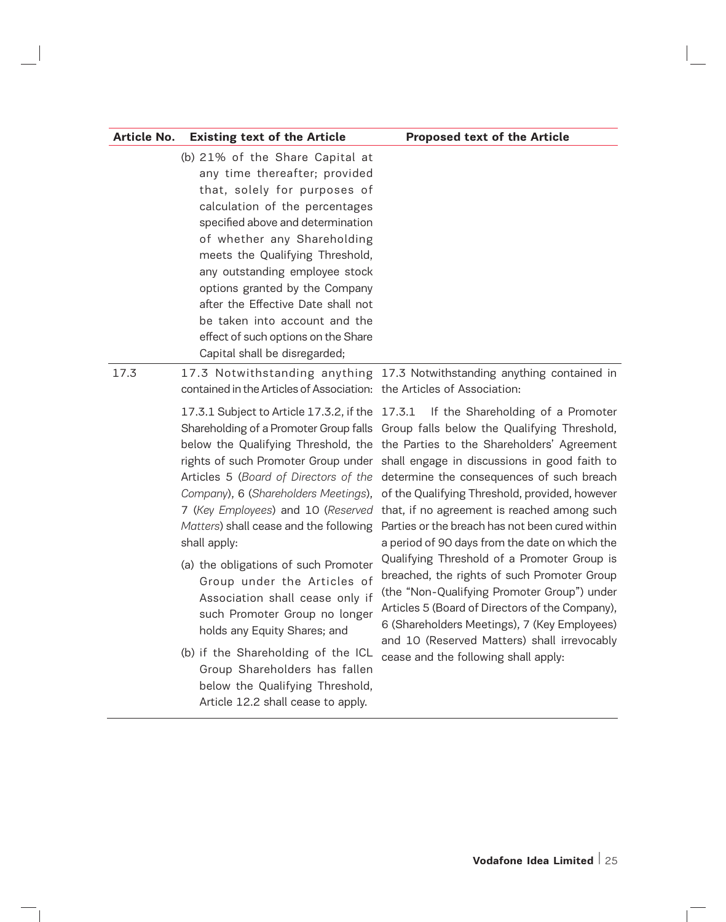| Article No. | <b>Existing text of the Article</b>                                                                                                                                                                                                                                                                                                                                                                                                                          | <b>Proposed text of the Article</b>                                                                                                                                                                                                                                                                                                                                                                                                                                                                                                                                                                                                                                                                                                                                                                                                                                                                                                                                                                                                                                                                                               |
|-------------|--------------------------------------------------------------------------------------------------------------------------------------------------------------------------------------------------------------------------------------------------------------------------------------------------------------------------------------------------------------------------------------------------------------------------------------------------------------|-----------------------------------------------------------------------------------------------------------------------------------------------------------------------------------------------------------------------------------------------------------------------------------------------------------------------------------------------------------------------------------------------------------------------------------------------------------------------------------------------------------------------------------------------------------------------------------------------------------------------------------------------------------------------------------------------------------------------------------------------------------------------------------------------------------------------------------------------------------------------------------------------------------------------------------------------------------------------------------------------------------------------------------------------------------------------------------------------------------------------------------|
|             | (b) 21% of the Share Capital at<br>any time thereafter; provided<br>that, solely for purposes of<br>calculation of the percentages<br>specified above and determination<br>of whether any Shareholding<br>meets the Qualifying Threshold,<br>any outstanding employee stock<br>options granted by the Company<br>after the Effective Date shall not<br>be taken into account and the<br>effect of such options on the Share<br>Capital shall be disregarded; |                                                                                                                                                                                                                                                                                                                                                                                                                                                                                                                                                                                                                                                                                                                                                                                                                                                                                                                                                                                                                                                                                                                                   |
| 17.3        | contained in the Articles of Association: the Articles of Association:<br>Matters) shall cease and the following<br>shall apply:<br>(a) the obligations of such Promoter<br>Group under the Articles of<br>Association shall cease only if<br>such Promoter Group no longer<br>holds any Equity Shares; and<br>(b) if the Shareholding of the ICL<br>Group Shareholders has fallen<br>below the Qualifying Threshold,<br>Article 12.2 shall cease to apply.  | 17.3 Notwithstanding anything 17.3 Notwithstanding anything contained in<br>17.3.1 Subject to Article 17.3.2, if the 17.3.1 If the Shareholding of a Promoter<br>Shareholding of a Promoter Group falls Group falls below the Qualifying Threshold,<br>below the Qualifying Threshold, the the Parties to the Shareholders' Agreement<br>rights of such Promoter Group under shall engage in discussions in good faith to<br>Articles 5 (Board of Directors of the determine the consequences of such breach<br>Company), 6 (Shareholders Meetings), of the Qualifying Threshold, provided, however<br>7 (Key Employees) and 10 (Reserved that, if no agreement is reached among such<br>Parties or the breach has not been cured within<br>a period of 90 days from the date on which the<br>Qualifying Threshold of a Promoter Group is<br>breached, the rights of such Promoter Group<br>(the "Non-Qualifying Promoter Group") under<br>Articles 5 (Board of Directors of the Company),<br>6 (Shareholders Meetings), 7 (Key Employees)<br>and 10 (Reserved Matters) shall irrevocably<br>cease and the following shall apply: |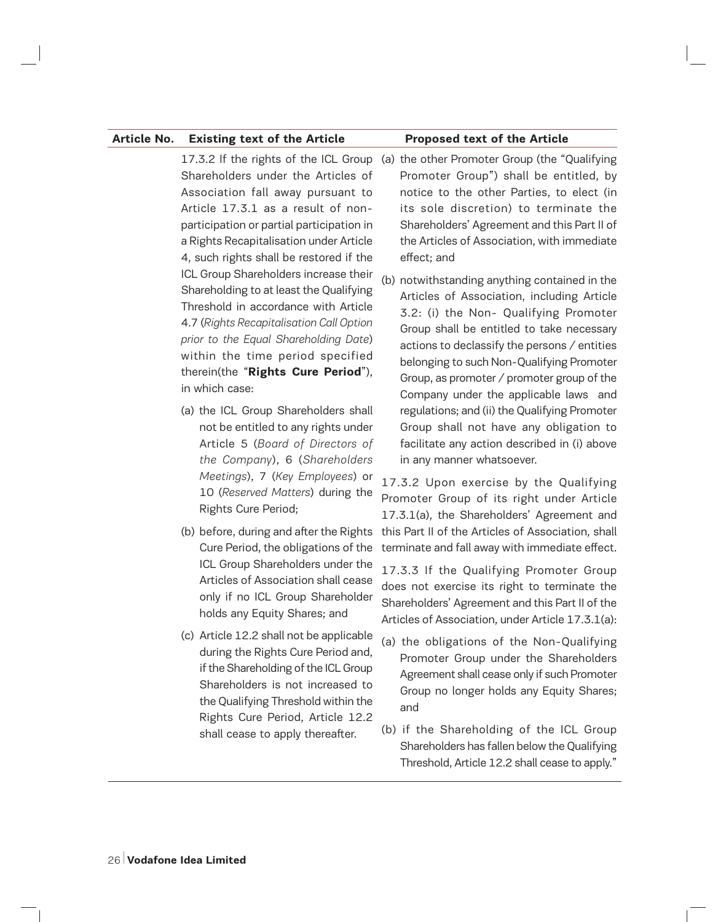#### **Article No. Existing text of the Article Proposed text of the Article**

Shareholders under the Articles of Association fall away pursuant to Article 17.3.1 as a result of nonparticipation or partial participation in a Rights Recapitalisation under Article 4, such rights shall be restored if the ICL Group Shareholders increase their Shareholding to at least the Qualifying Threshold in accordance with Article 4.7 (*Rights Recapitalisation Call Option prior to the Equal Shareholding Date*) within the time period specified therein(the "**Rights Cure Period**"), in which case:

- (a) the ICL Group Shareholders shall not be entitled to any rights under Article 5 (*Board of Directors of the Company*), 6 (*Shareholders Meetings*), 7 (*Key Employees*) or 10 (*Reserved Matters*) during the Rights Cure Period;
- Cure Period, the obligations of the ICL Group Shareholders under the Articles of Association shall cease only if no ICL Group Shareholder holds any Equity Shares; and
- (c) Article 12.2 shall not be applicable during the Rights Cure Period and, if the Shareholding of the ICL Group Shareholders is not increased to the Qualifying Threshold within the Rights Cure Period, Article 12.2 shall cease to apply thereafter.

# 17.3.2 If the rights of the ICL Group (a) the other Promoter Group (the "Qualifying Promoter Group") shall be entitled, by notice to the other Parties, to elect (in its sole discretion) to terminate the Shareholders' Agreement and this Part II of the Articles of Association, with immediate effect; and

(b) notwithstanding anything contained in the Articles of Association, including Article 3.2: (i) the Non- Qualifying Promoter Group shall be entitled to take necessary actions to declassify the persons / entities belonging to such Non-Qualifying Promoter Group, as promoter / promoter group of the Company under the applicable laws and regulations; and (ii) the Qualifying Promoter Group shall not have any obligation to facilitate any action described in (i) above in any manner whatsoever.

(b) before, during and after the Rights this Part II of the Articles of Association, shall 17.3.2 Upon exercise by the Qualifying Promoter Group of its right under Article 17.3.1(a), the Shareholders' Agreement and terminate and fall away with immediate effect.

> 17.3.3 If the Qualifying Promoter Group does not exercise its right to terminate the Shareholders' Agreement and this Part II of the Articles of Association, under Article 17.3.1(a):

- (a) the obligations of the Non-Qualifying Promoter Group under the Shareholders Agreement shall cease only if such Promoter Group no longer holds any Equity Shares; and
- (b) if the Shareholding of the ICL Group Shareholders has fallen below the Qualifying Threshold, Article 12.2 shall cease to apply."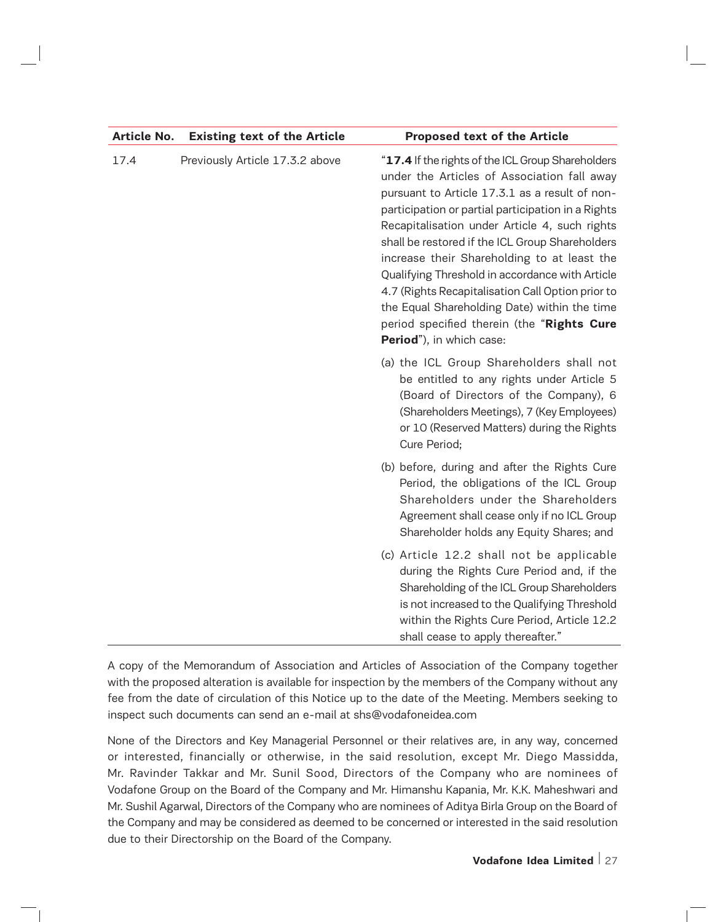| Article No. | <b>Existing text of the Article</b> | <b>Proposed text of the Article</b>                                                                                                                                                                                                                                                                                                                                                                                                                                                                                                                                                           |
|-------------|-------------------------------------|-----------------------------------------------------------------------------------------------------------------------------------------------------------------------------------------------------------------------------------------------------------------------------------------------------------------------------------------------------------------------------------------------------------------------------------------------------------------------------------------------------------------------------------------------------------------------------------------------|
| 17.4        | Previously Article 17.3.2 above     | "17.4 If the rights of the ICL Group Shareholders<br>under the Articles of Association fall away<br>pursuant to Article 17.3.1 as a result of non-<br>participation or partial participation in a Rights<br>Recapitalisation under Article 4, such rights<br>shall be restored if the ICL Group Shareholders<br>increase their Shareholding to at least the<br>Qualifying Threshold in accordance with Article<br>4.7 (Rights Recapitalisation Call Option prior to<br>the Equal Shareholding Date) within the time<br>period specified therein (the "Rights Cure<br>Period"), in which case: |
|             |                                     | (a) the ICL Group Shareholders shall not<br>be entitled to any rights under Article 5<br>(Board of Directors of the Company), 6<br>(Shareholders Meetings), 7 (Key Employees)<br>or 10 (Reserved Matters) during the Rights<br>Cure Period;                                                                                                                                                                                                                                                                                                                                                   |
|             |                                     | (b) before, during and after the Rights Cure<br>Period, the obligations of the ICL Group<br>Shareholders under the Shareholders<br>Agreement shall cease only if no ICL Group<br>Shareholder holds any Equity Shares; and                                                                                                                                                                                                                                                                                                                                                                     |
|             |                                     | (c) Article 12.2 shall not be applicable<br>during the Rights Cure Period and, if the<br>Shareholding of the ICL Group Shareholders<br>is not increased to the Qualifying Threshold<br>within the Rights Cure Period, Article 12.2<br>shall cease to apply thereafter."                                                                                                                                                                                                                                                                                                                       |

A copy of the Memorandum of Association and Articles of Association of the Company together with the proposed alteration is available for inspection by the members of the Company without any fee from the date of circulation of this Notice up to the date of the Meeting. Members seeking to inspect such documents can send an e-mail at shs@vodafoneidea.com

None of the Directors and Key Managerial Personnel or their relatives are, in any way, concerned or interested, financially or otherwise, in the said resolution, except Mr. Diego Massidda, Mr. Ravinder Takkar and Mr. Sunil Sood, Directors of the Company who are nominees of Vodafone Group on the Board of the Company and Mr. Himanshu Kapania, Mr. K.K. Maheshwari and Mr. Sushil Agarwal, Directors of the Company who are nominees of Aditya Birla Group on the Board of the Company and may be considered as deemed to be concerned or interested in the said resolution due to their Directorship on the Board of the Company.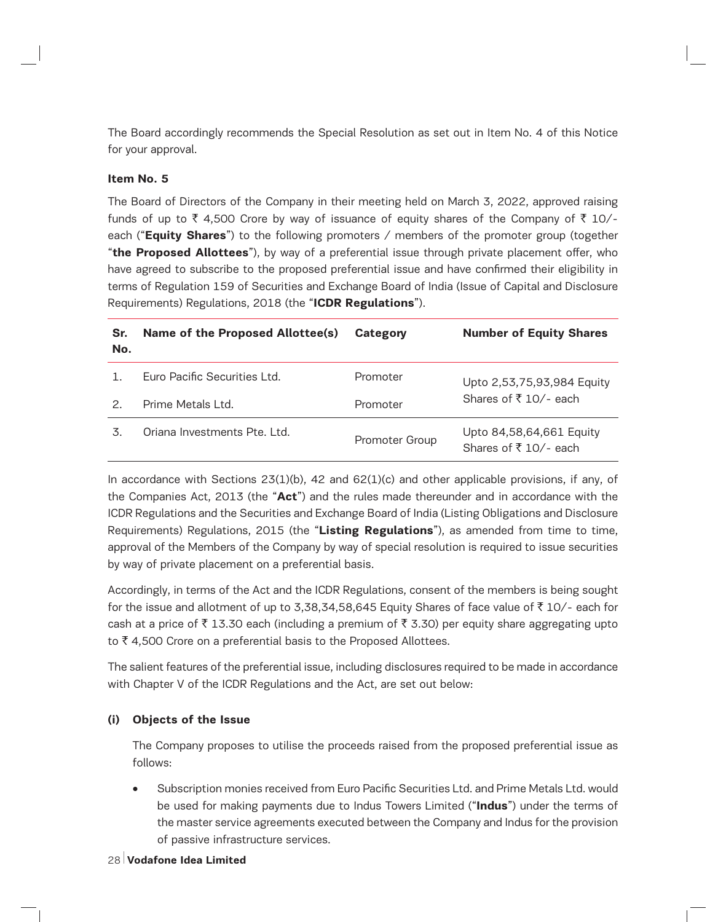The Board accordingly recommends the Special Resolution as set out in Item No. 4 of this Notice for your approval.

## **Item No. 5**

The Board of Directors of the Company in their meeting held on March 3, 2022, approved raising funds of up to  $\bar{\tau}$  4,500 Crore by way of issuance of equity shares of the Company of  $\bar{\tau}$  10/each ("**Equity Shares**") to the following promoters / members of the promoter group (together "**the Proposed Allottees**"), by way of a preferential issue through private placement offer, who have agreed to subscribe to the proposed preferential issue and have confirmed their eligibility in terms of Regulation 159 of Securities and Exchange Board of India (Issue of Capital and Disclosure Requirements) Regulations, 2018 (the "**ICDR Regulations**").

| Sr.<br>No. | Name of the Proposed Allottee(s) | Category       | <b>Number of Equity Shares</b>                   |
|------------|----------------------------------|----------------|--------------------------------------------------|
|            | Euro Pacific Securities Ltd.     | Promoter       | Upto 2,53,75,93,984 Equity                       |
| 2.         | Prime Metals Ltd.                | Promoter       | Shares of ₹10/- each                             |
| 3.         | Oriana Investments Pte. Ltd.     | Promoter Group | Upto 84,58,64,661 Equity<br>Shares of ₹10/- each |

In accordance with Sections  $23(1)(b)$ , 42 and  $62(1)(c)$  and other applicable provisions, if any, of the Companies Act, 2013 (the "**Act**") and the rules made thereunder and in accordance with the ICDR Regulations and the Securities and Exchange Board of India (Listing Obligations and Disclosure Requirements) Regulations, 2015 (the "**Listing Regulations**"), as amended from time to time, approval of the Members of the Company by way of special resolution is required to issue securities by way of private placement on a preferential basis.

Accordingly, in terms of the Act and the ICDR Regulations, consent of the members is being sought for the issue and allotment of up to 3,38,34,58,645 Equity Shares of face value of  $\bar{\tau}$  10/- each for cash at a price of  $\bar{\tau}$  13.30 each (including a premium of  $\bar{\tau}$  3.30) per equity share aggregating upto to  $\bar{\tau}$  4,500 Crore on a preferential basis to the Proposed Allottees.

The salient features of the preferential issue, including disclosures required to be made in accordance with Chapter V of the ICDR Regulations and the Act, are set out below:

#### **(i) Objects of the Issue**

The Company proposes to utilise the proceeds raised from the proposed preferential issue as follows:

- Subscription monies received from Euro Pacific Securities Ltd. and Prime Metals Ltd. would be used for making payments due to Indus Towers Limited ("**Indus**") under the terms of the master service agreements executed between the Company and Indus for the provision of passive infrastructure services.
- 28 **Vodafone Idea Limited**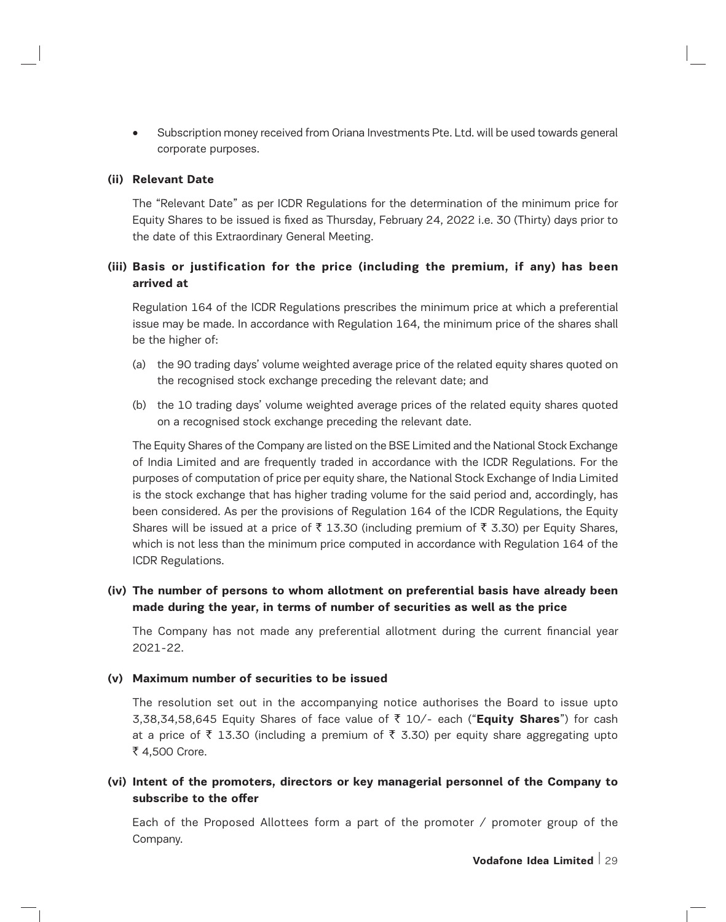• Subscription money received from Oriana Investments Pte. Ltd. will be used towards general corporate purposes.

#### **(ii) Relevant Date**

The "Relevant Date" as per ICDR Regulations for the determination of the minimum price for Equity Shares to be issued is fixed as Thursday, February 24, 2022 i.e. 30 (Thirty) days prior to the date of this Extraordinary General Meeting.

# **(iii) Basis or justification for the price (including the premium, if any) has been arrived at**

Regulation 164 of the ICDR Regulations prescribes the minimum price at which a preferential issue may be made. In accordance with Regulation 164, the minimum price of the shares shall be the higher of:

- (a) the 90 trading days' volume weighted average price of the related equity shares quoted on the recognised stock exchange preceding the relevant date; and
- (b) the 10 trading days' volume weighted average prices of the related equity shares quoted on a recognised stock exchange preceding the relevant date.

The Equity Shares of the Company are listed on the BSE Limited and the National Stock Exchange of India Limited and are frequently traded in accordance with the ICDR Regulations. For the purposes of computation of price per equity share, the National Stock Exchange of India Limited is the stock exchange that has higher trading volume for the said period and, accordingly, has been considered. As per the provisions of Regulation 164 of the ICDR Regulations, the Equity Shares will be issued at a price of  $\bar{\tau}$  13.30 (including premium of  $\bar{\tau}$  3.30) per Equity Shares, which is not less than the minimum price computed in accordance with Regulation 164 of the ICDR Regulations.

# **(iv) The number of persons to whom allotment on preferential basis have already been made during the year, in terms of number of securities as well as the price**

The Company has not made any preferential allotment during the current financial year 2021-22.

### **(v) Maximum number of securities to be issued**

The resolution set out in the accompanying notice authorises the Board to issue upto 3,38,34,58,645 Equity Shares of face value of ` 10/- each ("**Equity Shares**") for cash at a price of  $\bar{\tau}$  13.30 (including a premium of  $\bar{\tau}$  3.30) per equity share aggregating upto ₹ 4,500 Crore.

**(vi) Intent of the promoters, directors or key managerial personnel of the Company to subscribe to the offer**

Each of the Proposed Allottees form a part of the promoter  $\prime$  promoter group of the Company.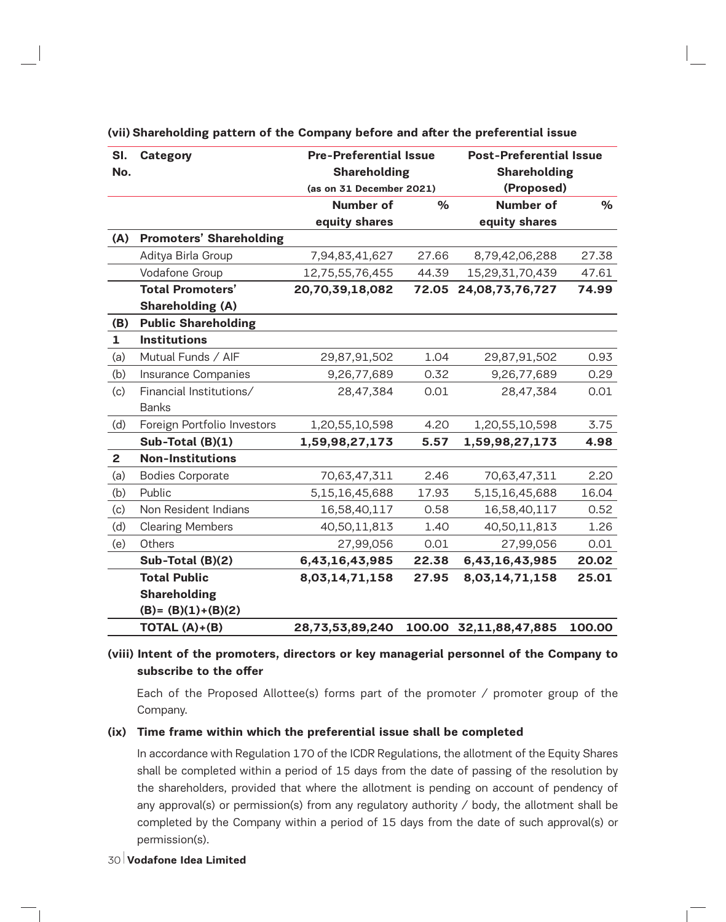| SI.            | <b>Category</b>                | <b>Pre-Preferential Issue</b> |       |                        | <b>Post-Preferential Issue</b> |  |  |
|----------------|--------------------------------|-------------------------------|-------|------------------------|--------------------------------|--|--|
| No.            |                                | <b>Shareholding</b>           |       | <b>Shareholding</b>    |                                |  |  |
|                |                                | (as on 31 December 2021)      |       | (Proposed)             |                                |  |  |
|                |                                | <b>Number of</b>              | $\%$  | <b>Number of</b>       | $\%$                           |  |  |
|                |                                | equity shares                 |       | equity shares          |                                |  |  |
| (A)            | <b>Promoters' Shareholding</b> |                               |       |                        |                                |  |  |
|                | Aditya Birla Group             | 7,94,83,41,627                | 27.66 | 8,79,42,06,288         | 27.38                          |  |  |
|                | Vodafone Group                 | 12,75,55,76,455               | 44.39 | 15,29,31,70,439        | 47.61                          |  |  |
|                | <b>Total Promoters'</b>        | 20,70,39,18,082               | 72.05 | 24,08,73,76,727        | 74.99                          |  |  |
|                | <b>Shareholding (A)</b>        |                               |       |                        |                                |  |  |
| (B)            | <b>Public Shareholding</b>     |                               |       |                        |                                |  |  |
| $\mathbf{1}$   | <b>Institutions</b>            |                               |       |                        |                                |  |  |
| (a)            | Mutual Funds / AIF             | 29,87,91,502                  | 1.04  | 29,87,91,502           | 0.93                           |  |  |
| (b)            | Insurance Companies            | 9,26,77,689                   | 0.32  | 9,26,77,689            | 0.29                           |  |  |
| (c)            | Financial Institutions/        | 28,47,384                     | 0.01  | 28,47,384              | 0.01                           |  |  |
|                | <b>Banks</b>                   |                               |       |                        |                                |  |  |
| (d)            | Foreign Portfolio Investors    | 1,20,55,10,598                | 4.20  | 1,20,55,10,598         | 3.75                           |  |  |
|                | Sub-Total (B)(1)               | 1,59,98,27,173                | 5.57  | 1,59,98,27,173         | 4.98                           |  |  |
| $\overline{2}$ | <b>Non-Institutions</b>        |                               |       |                        |                                |  |  |
| (a)            | <b>Bodies Corporate</b>        | 70,63,47,311                  | 2.46  | 70,63,47,311           | 2.20                           |  |  |
| (b)            | Public                         | 5,15,16,45,688                | 17.93 | 5,15,16,45,688         | 16.04                          |  |  |
| (c)            | Non Resident Indians           | 16,58,40,117                  | 0.58  | 16,58,40,117           | 0.52                           |  |  |
| (d)            | <b>Clearing Members</b>        | 40,50,11,813                  | 1.40  | 40,50,11,813           | 1.26                           |  |  |
| (e)            | Others                         | 27,99,056                     | 0.01  | 27,99,056              | 0.01                           |  |  |
|                | Sub-Total (B)(2)               | 6,43,16,43,985                | 22.38 | 6,43,16,43,985         | 20.02                          |  |  |
|                | <b>Total Public</b>            | 8,03,14,71,158                | 27.95 | 8,03,14,71,158         | 25.01                          |  |  |
|                | <b>Shareholding</b>            |                               |       |                        |                                |  |  |
|                | $(B)=(B)(1)+(B)(2)$            |                               |       |                        |                                |  |  |
|                | TOTAL $(A)+(B)$                | 28,73,53,89,240               |       | 100.00 32,11,88,47,885 | 100.00                         |  |  |

**(vii) Shareholding pattern of the Company before and after the preferential issue**

# **(viii) Intent of the promoters, directors or key managerial personnel of the Company to subscribe to the offer**

Each of the Proposed Allottee(s) forms part of the promoter  $\prime$  promoter group of the Company.

#### **(ix) Time frame within which the preferential issue shall be completed**

In accordance with Regulation 170 of the ICDR Regulations, the allotment of the Equity Shares shall be completed within a period of 15 days from the date of passing of the resolution by the shareholders, provided that where the allotment is pending on account of pendency of any approval(s) or permission(s) from any regulatory authority / body, the allotment shall be completed by the Company within a period of 15 days from the date of such approval(s) or permission(s).

30 **Vodafone Idea Limited**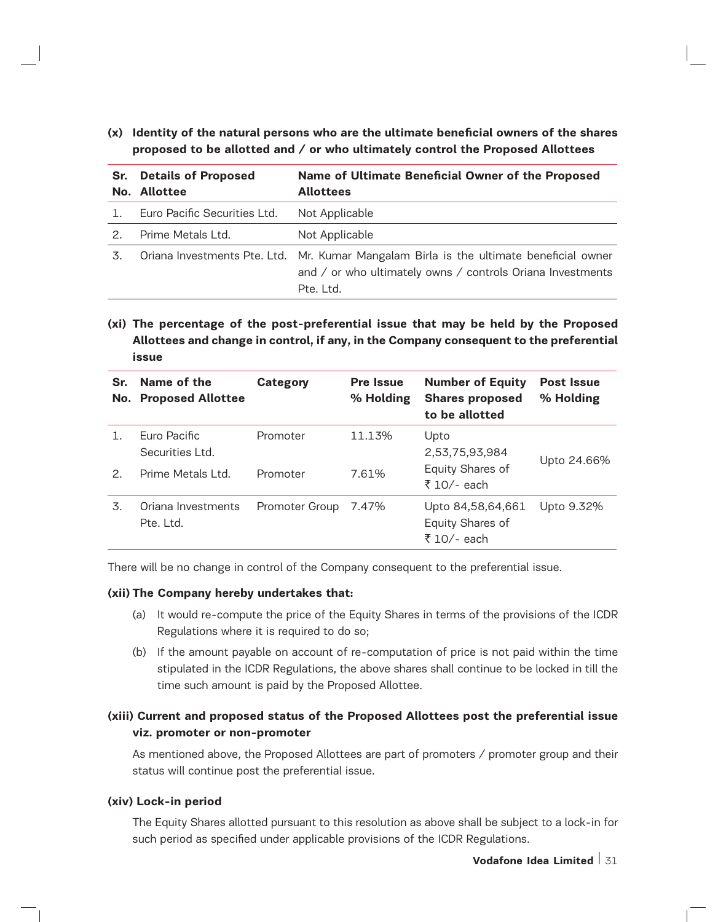**(x) Identity of the natural persons who are the ultimate beneficial owners of the shares proposed to be allotted and / or who ultimately control the Proposed Allottees**

| Sr. | <b>Details of Proposed</b><br>No. Allottee | Name of Ultimate Beneficial Owner of the Proposed<br><b>Allottees</b>                                                                                             |
|-----|--------------------------------------------|-------------------------------------------------------------------------------------------------------------------------------------------------------------------|
|     | Euro Pacific Securities Ltd.               | Not Applicable                                                                                                                                                    |
| 2.  | Prime Metals Ltd.                          | Not Applicable                                                                                                                                                    |
| 3.  |                                            | Oriana Investments Pte. Ltd. Mr. Kumar Mangalam Birla is the ultimate beneficial owner<br>and / or who ultimately owns / controls Oriana Investments<br>Pte. Ltd. |

# **(xi) The percentage of the post-preferential issue that may be held by the Proposed Allottees and change in control, if any, in the Company consequent to the preferential issue**

| Sr.<br>No.            | Name of the<br><b>Proposed Allottee</b>              | <b>Category</b>      | <b>Pre Issue</b><br>% Holding | <b>Number of Equity</b><br><b>Shares proposed</b><br>to be allotted | <b>Post Issue</b><br>% Holding |
|-----------------------|------------------------------------------------------|----------------------|-------------------------------|---------------------------------------------------------------------|--------------------------------|
| $\mathcal{P}_{\cdot}$ | Euro Pacific<br>Securities Ltd.<br>Prime Metals Ltd. | Promoter<br>Promoter | 11.13%<br>7.61%               | Upto<br>2,53,75,93,984<br>Equity Shares of                          | Upto 24.66%                    |
|                       |                                                      |                      |                               | ₹ 10/- each                                                         |                                |
| 3.                    | Oriana Investments<br>Pte. Ltd.                      | Promoter Group       | 7.47%                         | Upto 84,58,64,661<br>Equity Shares of<br>₹ 10/- each                | Upto 9.32%                     |

There will be no change in control of the Company consequent to the preferential issue.

#### **(xii) The Company hereby undertakes that:**

- (a) It would re-compute the price of the Equity Shares in terms of the provisions of the ICDR Regulations where it is required to do so;
- (b) If the amount payable on account of re-computation of price is not paid within the time stipulated in the ICDR Regulations, the above shares shall continue to be locked in till the time such amount is paid by the Proposed Allottee.

# **(xiii) Current and proposed status of the Proposed Allottees post the preferential issue viz. promoter or non-promoter**

As mentioned above, the Proposed Allottees are part of promoters / promoter group and their status will continue post the preferential issue.

#### **(xiv) Lock-in period**

The Equity Shares allotted pursuant to this resolution as above shall be subject to a lock-in for such period as specified under applicable provisions of the ICDR Regulations.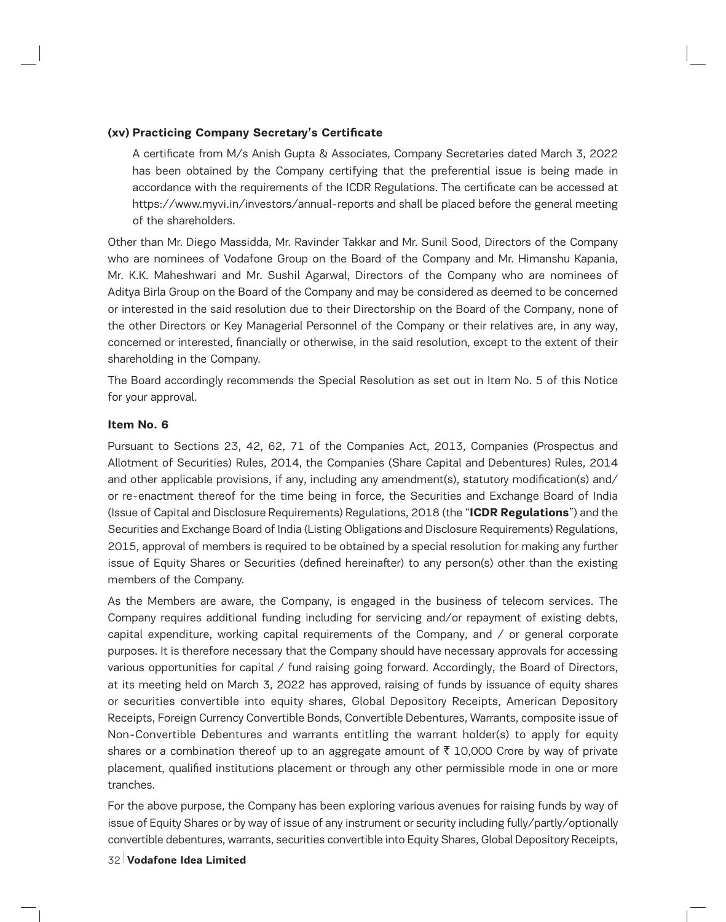# **(xv) Practicing Company Secretary's Certificate**

A certificate from M/s Anish Gupta & Associates, Company Secretaries dated March 3, 2022 has been obtained by the Company certifying that the preferential issue is being made in accordance with the requirements of the ICDR Regulations. The certificate can be accessed at https://www.myvi.in/investors/annual-reports and shall be placed before the general meeting of the shareholders.

Other than Mr. Diego Massidda, Mr. Ravinder Takkar and Mr. Sunil Sood, Directors of the Company who are nominees of Vodafone Group on the Board of the Company and Mr. Himanshu Kapania, Mr. K.K. Maheshwari and Mr. Sushil Agarwal, Directors of the Company who are nominees of Aditya Birla Group on the Board of the Company and may be considered as deemed to be concerned or interested in the said resolution due to their Directorship on the Board of the Company, none of the other Directors or Key Managerial Personnel of the Company or their relatives are, in any way, concerned or interested, financially or otherwise, in the said resolution, except to the extent of their shareholding in the Company.

The Board accordingly recommends the Special Resolution as set out in Item No. 5 of this Notice for your approval.

#### **Item No. 6**

Pursuant to Sections 23, 42, 62, 71 of the Companies Act, 2013, Companies (Prospectus and Allotment of Securities) Rules, 2014, the Companies (Share Capital and Debentures) Rules, 2014 and other applicable provisions, if any, including any amendment(s), statutory modification(s) and/ or re-enactment thereof for the time being in force, the Securities and Exchange Board of India (Issue of Capital and Disclosure Requirements) Regulations, 2018 (the "**ICDR Regulations**") and the Securities and Exchange Board of India (Listing Obligations and Disclosure Requirements) Regulations, 2015, approval of members is required to be obtained by a special resolution for making any further issue of Equity Shares or Securities (defined hereinafter) to any person(s) other than the existing members of the Company.

As the Members are aware, the Company, is engaged in the business of telecom services. The Company requires additional funding including for servicing and/or repayment of existing debts, capital expenditure, working capital requirements of the Company, and / or general corporate purposes. It is therefore necessary that the Company should have necessary approvals for accessing various opportunities for capital / fund raising going forward. Accordingly, the Board of Directors, at its meeting held on March 3, 2022 has approved, raising of funds by issuance of equity shares or securities convertible into equity shares, Global Depository Receipts, American Depository Receipts, Foreign Currency Convertible Bonds, Convertible Debentures, Warrants, composite issue of Non-Convertible Debentures and warrants entitling the warrant holder(s) to apply for equity shares or a combination thereof up to an aggregate amount of  $\bar{\tau}$  10,000 Crore by way of private placement, qualified institutions placement or through any other permissible mode in one or more tranches.

For the above purpose, the Company has been exploring various avenues for raising funds by way of issue of Equity Shares or by way of issue of any instrument or security including fully/partly/optionally convertible debentures, warrants, securities convertible into Equity Shares, Global Depository Receipts,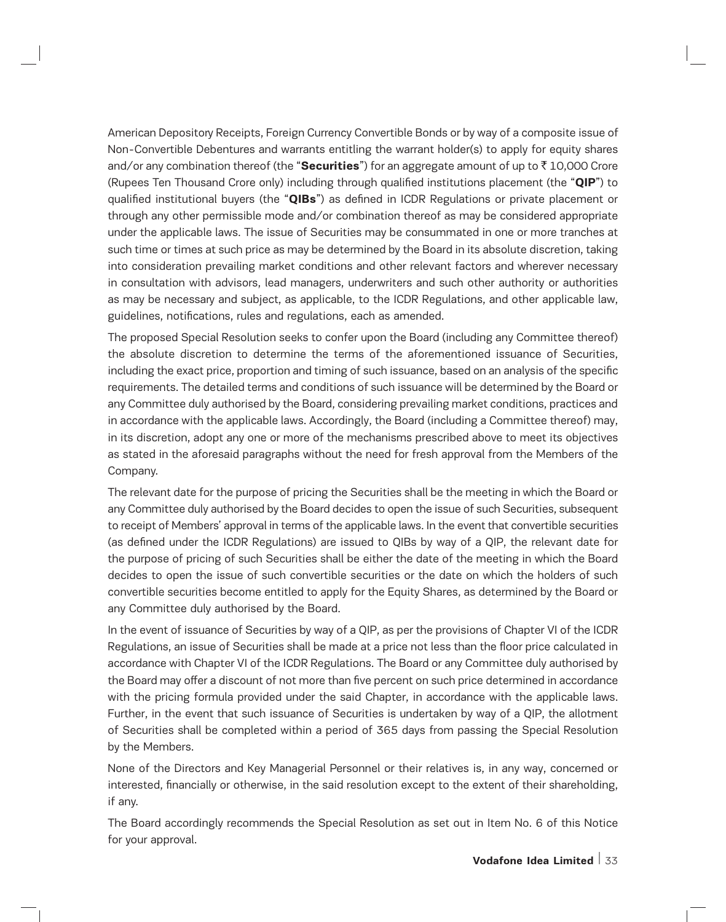American Depository Receipts, Foreign Currency Convertible Bonds or by way of a composite issue of Non-Convertible Debentures and warrants entitling the warrant holder(s) to apply for equity shares and/or any combination thereof (the "Securities") for an aggregate amount of up to ₹10,000 Crore (Rupees Ten Thousand Crore only) including through qualified institutions placement (the "**QIP**") to qualified institutional buyers (the "**QIBs**") as defined in ICDR Regulations or private placement or through any other permissible mode and/or combination thereof as may be considered appropriate under the applicable laws. The issue of Securities may be consummated in one or more tranches at such time or times at such price as may be determined by the Board in its absolute discretion, taking into consideration prevailing market conditions and other relevant factors and wherever necessary in consultation with advisors, lead managers, underwriters and such other authority or authorities as may be necessary and subject, as applicable, to the ICDR Regulations, and other applicable law, guidelines, notifications, rules and regulations, each as amended.

The proposed Special Resolution seeks to confer upon the Board (including any Committee thereof) the absolute discretion to determine the terms of the aforementioned issuance of Securities, including the exact price, proportion and timing of such issuance, based on an analysis of the specific requirements. The detailed terms and conditions of such issuance will be determined by the Board or any Committee duly authorised by the Board, considering prevailing market conditions, practices and in accordance with the applicable laws. Accordingly, the Board (including a Committee thereof) may, in its discretion, adopt any one or more of the mechanisms prescribed above to meet its objectives as stated in the aforesaid paragraphs without the need for fresh approval from the Members of the Company.

The relevant date for the purpose of pricing the Securities shall be the meeting in which the Board or any Committee duly authorised by the Board decides to open the issue of such Securities, subsequent to receipt of Members' approval in terms of the applicable laws. In the event that convertible securities (as defined under the ICDR Regulations) are issued to QIBs by way of a QIP, the relevant date for the purpose of pricing of such Securities shall be either the date of the meeting in which the Board decides to open the issue of such convertible securities or the date on which the holders of such convertible securities become entitled to apply for the Equity Shares, as determined by the Board or any Committee duly authorised by the Board.

In the event of issuance of Securities by way of a QIP, as per the provisions of Chapter VI of the ICDR Regulations, an issue of Securities shall be made at a price not less than the floor price calculated in accordance with Chapter VI of the ICDR Regulations. The Board or any Committee duly authorised by the Board may offer a discount of not more than five percent on such price determined in accordance with the pricing formula provided under the said Chapter, in accordance with the applicable laws. Further, in the event that such issuance of Securities is undertaken by way of a QIP, the allotment of Securities shall be completed within a period of 365 days from passing the Special Resolution by the Members.

None of the Directors and Key Managerial Personnel or their relatives is, in any way, concerned or interested, financially or otherwise, in the said resolution except to the extent of their shareholding, if any.

The Board accordingly recommends the Special Resolution as set out in Item No. 6 of this Notice for your approval.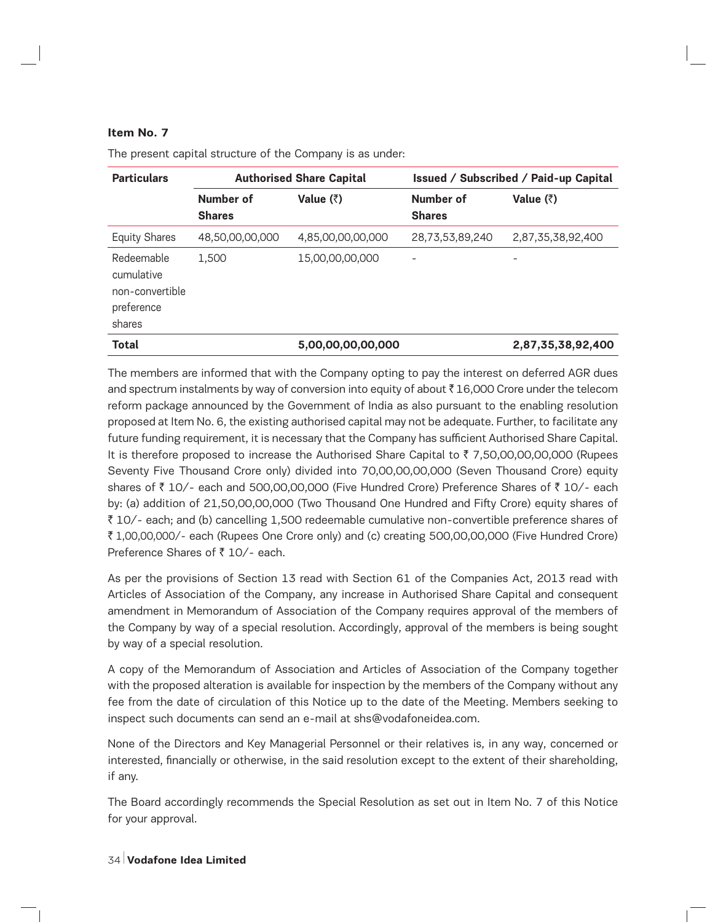## **Item No. 7**

| <b>Particulars</b>                                                  | <b>Authorised Share Capital</b> |                   | <b>Issued / Subscribed / Paid-up Capital</b> |                   |
|---------------------------------------------------------------------|---------------------------------|-------------------|----------------------------------------------|-------------------|
|                                                                     | Number of<br><b>Shares</b>      | Value $(\bar{z})$ | Number of<br><b>Shares</b>                   | Value $(\bar{z})$ |
| <b>Equity Shares</b>                                                | 48,50,00,00,000                 | 4,85,00,00,00,000 | 28,73,53,89,240                              | 2,87,35,38,92,400 |
| Redeemable<br>cumulative<br>non-convertible<br>preference<br>shares | 1,500                           | 15,00,00,00,000   |                                              |                   |
| <b>Total</b>                                                        |                                 | 5,00,00,00,00,000 |                                              | 2,87,35,38,92,400 |

The present capital structure of the Company is as under:

The members are informed that with the Company opting to pay the interest on deferred AGR dues and spectrum instalments by way of conversion into equity of about  $\bar{\tau}$  16,000 Crore under the telecom reform package announced by the Government of India as also pursuant to the enabling resolution proposed at Item No. 6, the existing authorised capital may not be adequate. Further, to facilitate any future funding requirement, it is necessary that the Company has sufficient Authorised Share Capital. It is therefore proposed to increase the Authorised Share Capital to  $\bar{z}$  7,50,00,00,00,000 (Rupees Seventy Five Thousand Crore only) divided into 70,00,00,00,000 (Seven Thousand Crore) equity shares of  $\bar{\tau}$  10/- each and 500,00,00,000 (Five Hundred Crore) Preference Shares of  $\bar{\tau}$  10/- each by: (a) addition of 21,50,00,00,000 (Two Thousand One Hundred and Fifty Crore) equity shares of ` 10/- each; and (b) cancelling 1,500 redeemable cumulative non-convertible preference shares of ` 1,00,00,000/- each (Rupees One Crore only) and (c) creating 500,00,00,000 (Five Hundred Crore) Preference Shares of  $\bar{z}$  10/- each.

As per the provisions of Section 13 read with Section 61 of the Companies Act, 2013 read with Articles of Association of the Company, any increase in Authorised Share Capital and consequent amendment in Memorandum of Association of the Company requires approval of the members of the Company by way of a special resolution. Accordingly, approval of the members is being sought by way of a special resolution.

A copy of the Memorandum of Association and Articles of Association of the Company together with the proposed alteration is available for inspection by the members of the Company without any fee from the date of circulation of this Notice up to the date of the Meeting. Members seeking to inspect such documents can send an e-mail at shs@vodafoneidea.com.

None of the Directors and Key Managerial Personnel or their relatives is, in any way, concerned or interested, financially or otherwise, in the said resolution except to the extent of their shareholding, if any.

The Board accordingly recommends the Special Resolution as set out in Item No. 7 of this Notice for your approval.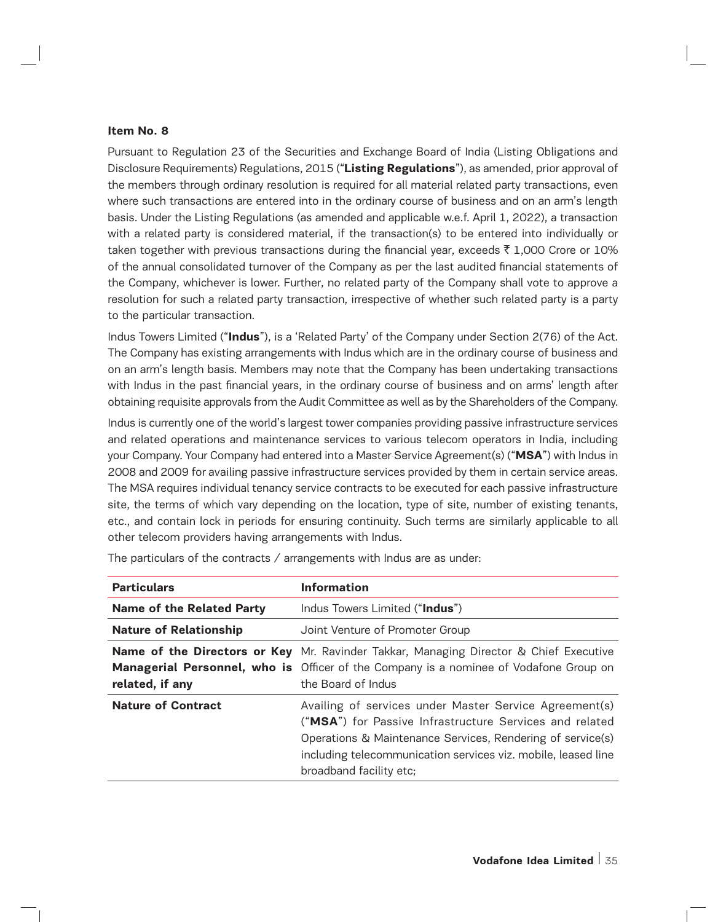#### **Item No. 8**

Pursuant to Regulation 23 of the Securities and Exchange Board of India (Listing Obligations and Disclosure Requirements) Regulations, 2015 ("**Listing Regulations**"), as amended, prior approval of the members through ordinary resolution is required for all material related party transactions, even where such transactions are entered into in the ordinary course of business and on an arm's length basis. Under the Listing Regulations (as amended and applicable w.e.f. April 1, 2022), a transaction with a related party is considered material, if the transaction(s) to be entered into individually or taken together with previous transactions during the financial year, exceeds  $\bar{\tau}$  1,000 Crore or 10% of the annual consolidated turnover of the Company as per the last audited financial statements of the Company, whichever is lower. Further, no related party of the Company shall vote to approve a resolution for such a related party transaction, irrespective of whether such related party is a party to the particular transaction.

Indus Towers Limited ("**Indus**"), is a 'Related Party' of the Company under Section 2(76) of the Act. The Company has existing arrangements with Indus which are in the ordinary course of business and on an arm's length basis. Members may note that the Company has been undertaking transactions with Indus in the past financial years, in the ordinary course of business and on arms' length after obtaining requisite approvals from the Audit Committee as well as by the Shareholders of the Company.

Indus is currently one of the world's largest tower companies providing passive infrastructure services and related operations and maintenance services to various telecom operators in India, including your Company. Your Company had entered into a Master Service Agreement(s) ("**MSA**") with Indus in 2008 and 2009 for availing passive infrastructure services provided by them in certain service areas. The MSA requires individual tenancy service contracts to be executed for each passive infrastructure site, the terms of which vary depending on the location, type of site, number of existing tenants, etc., and contain lock in periods for ensuring continuity. Such terms are similarly applicable to all other telecom providers having arrangements with Indus.

| <b>Particulars</b>               | <b>Information</b>                                                                                                                                                                                                                                                          |
|----------------------------------|-----------------------------------------------------------------------------------------------------------------------------------------------------------------------------------------------------------------------------------------------------------------------------|
| <b>Name of the Related Party</b> | Indus Towers Limited ("Indus")                                                                                                                                                                                                                                              |
| <b>Nature of Relationship</b>    | Joint Venture of Promoter Group                                                                                                                                                                                                                                             |
| related, if any                  | <b>Name of the Directors or Key</b> Mr. Ravinder Takkar, Managing Director & Chief Executive<br><b>Managerial Personnel, who is</b> Officer of the Company is a nominee of Vodafone Group on<br>the Board of Indus                                                          |
| <b>Nature of Contract</b>        | Availing of services under Master Service Agreement(s)<br>("MSA") for Passive Infrastructure Services and related<br>Operations & Maintenance Services, Rendering of service(s)<br>including telecommunication services viz. mobile, leased line<br>broadband facility etc; |

The particulars of the contracts / arrangements with Indus are as under: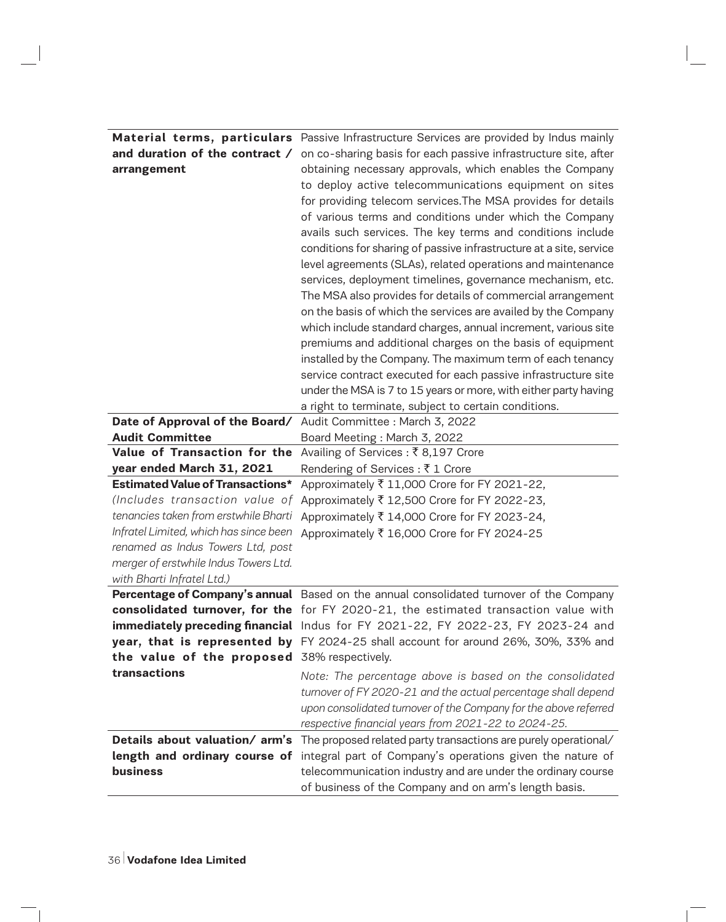|                                             | <b>Material terms, particulars</b> Passive Infrastructure Services are provided by Indus mainly |
|---------------------------------------------|-------------------------------------------------------------------------------------------------|
| and duration of the contract /              | on co-sharing basis for each passive infrastructure site, after                                 |
| arrangement                                 | obtaining necessary approvals, which enables the Company                                        |
|                                             | to deploy active telecommunications equipment on sites                                          |
|                                             | for providing telecom services. The MSA provides for details                                    |
|                                             | of various terms and conditions under which the Company                                         |
|                                             | avails such services. The key terms and conditions include                                      |
|                                             | conditions for sharing of passive infrastructure at a site, service                             |
|                                             | level agreements (SLAs), related operations and maintenance                                     |
|                                             | services, deployment timelines, governance mechanism, etc.                                      |
|                                             | The MSA also provides for details of commercial arrangement                                     |
|                                             | on the basis of which the services are availed by the Company                                   |
|                                             | which include standard charges, annual increment, various site                                  |
|                                             | premiums and additional charges on the basis of equipment                                       |
|                                             | installed by the Company. The maximum term of each tenancy                                      |
|                                             | service contract executed for each passive infrastructure site                                  |
|                                             | under the MSA is 7 to 15 years or more, with either party having                                |
|                                             | a right to terminate, subject to certain conditions.                                            |
| Date of Approval of the Board/              | Audit Committee : March 3, 2022                                                                 |
| <b>Audit Committee</b>                      | Board Meeting: March 3, 2022                                                                    |
| Value of Transaction for the                | Availing of Services : ₹8,197 Crore                                                             |
| year ended March 31, 2021                   | Rendering of Services : ₹1 Crore                                                                |
| <b>Estimated Value of Transactions*</b>     | Approximately ₹ 11,000 Crore for FY 2021-22,                                                    |
| (Includes transaction value of              | Approximately ₹ 12,500 Crore for FY 2022-23,                                                    |
| tenancies taken from erstwhile Bharti       | Approximately ₹ 14,000 Crore for FY 2023-24,                                                    |
| Infratel Limited, which has since been      | Approximately ₹ 16,000 Crore for FY 2024-25                                                     |
| renamed as Indus Towers Ltd, post           |                                                                                                 |
| merger of erstwhile Indus Towers Ltd.       |                                                                                                 |
| with Bharti Infratel Ltd.)                  |                                                                                                 |
|                                             | Percentage of Company's annual Based on the annual consolidated turnover of the Company         |
|                                             | consolidated turnover, for the for FY 2020-21, the estimated transaction value with             |
|                                             | immediately preceding financial Indus for FY 2021-22, FY 2022-23, FY 2023-24 and                |
|                                             | year, that is represented by FY 2024-25 shall account for around 26%, 30%, 33% and              |
| the value of the proposed 38% respectively. |                                                                                                 |
| transactions                                | Note: The percentage above is based on the consolidated                                         |
|                                             | turnover of FY 2020-21 and the actual percentage shall depend                                   |
|                                             | upon consolidated turnover of the Company for the above referred                                |
|                                             | respective financial years from 2021-22 to 2024-25.                                             |
| Details about valuation/arm's               | The proposed related party transactions are purely operational/                                 |
| length and ordinary course of               | integral part of Company's operations given the nature of                                       |
| <b>business</b>                             | telecommunication industry and are under the ordinary course                                    |
|                                             | of business of the Company and on arm's length basis.                                           |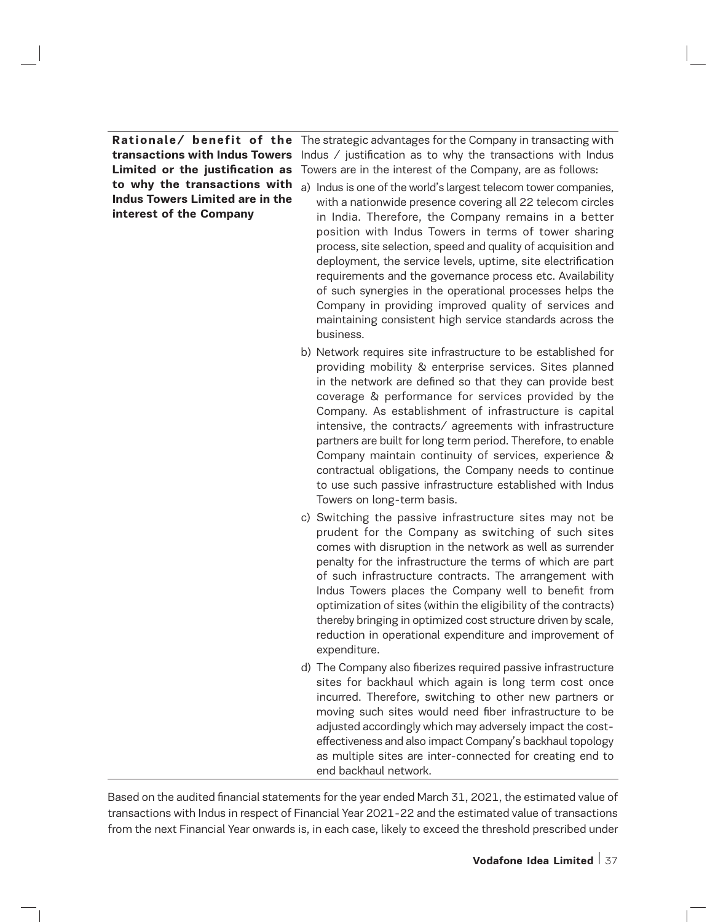**to why the transactions with Indus Towers Limited are in the interest of the Company**

**Rationale/ benefit of the**  The strategic advantages for the Company in transacting with **transactions with Indus Towers** Indus / justification as to why the transactions with Indus **Limited or the justification as**  Towers are in the interest of the Company, are as follows:

- a) Indus is one of the world's largest telecom tower companies, with a nationwide presence covering all 22 telecom circles in India. Therefore, the Company remains in a better position with Indus Towers in terms of tower sharing process, site selection, speed and quality of acquisition and deployment, the service levels, uptime, site electrification requirements and the governance process etc. Availability of such synergies in the operational processes helps the Company in providing improved quality of services and maintaining consistent high service standards across the business.
	- b) Network requires site infrastructure to be established for providing mobility & enterprise services. Sites planned in the network are defined so that they can provide best coverage & performance for services provided by the Company. As establishment of infrastructure is capital intensive, the contracts/ agreements with infrastructure partners are built for long term period. Therefore, to enable Company maintain continuity of services, experience & contractual obligations, the Company needs to continue to use such passive infrastructure established with Indus Towers on long-term basis.
	- c) Switching the passive infrastructure sites may not be prudent for the Company as switching of such sites comes with disruption in the network as well as surrender penalty for the infrastructure the terms of which are part of such infrastructure contracts. The arrangement with Indus Towers places the Company well to benefit from optimization of sites (within the eligibility of the contracts) thereby bringing in optimized cost structure driven by scale, reduction in operational expenditure and improvement of expenditure.
	- d) The Company also fiberizes required passive infrastructure sites for backhaul which again is long term cost once incurred. Therefore, switching to other new partners or moving such sites would need fiber infrastructure to be adjusted accordingly which may adversely impact the costeffectiveness and also impact Company's backhaul topology as multiple sites are inter-connected for creating end to end backhaul network.

Based on the audited financial statements for the year ended March 31, 2021, the estimated value of transactions with Indus in respect of Financial Year 2021-22 and the estimated value of transactions from the next Financial Year onwards is, in each case, likely to exceed the threshold prescribed under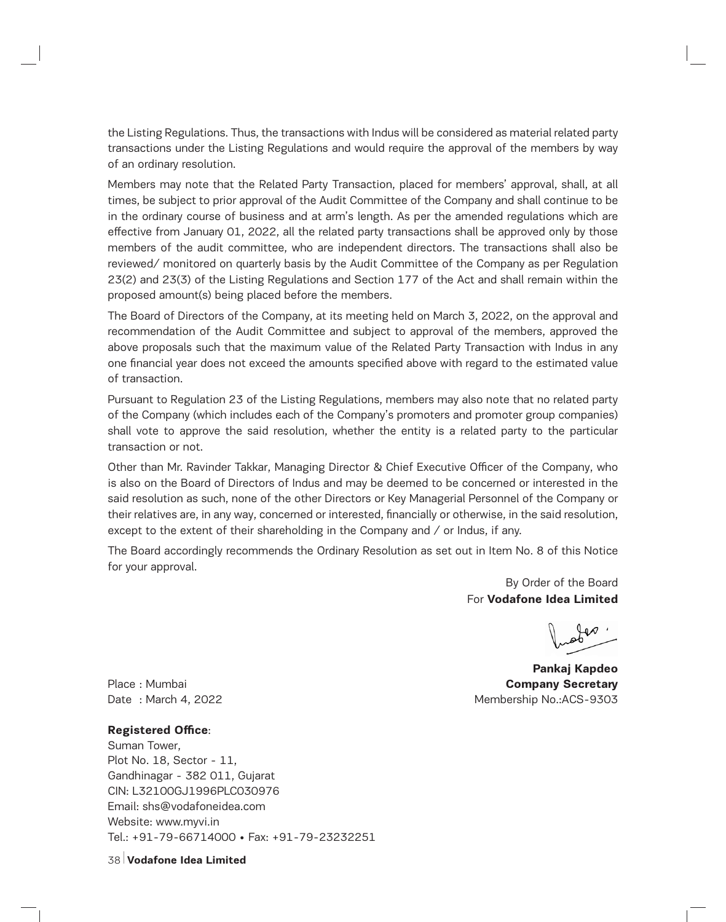the Listing Regulations. Thus, the transactions with Indus will be considered as material related party transactions under the Listing Regulations and would require the approval of the members by way of an ordinary resolution.

Members may note that the Related Party Transaction, placed for members' approval, shall, at all times, be subject to prior approval of the Audit Committee of the Company and shall continue to be in the ordinary course of business and at arm's length. As per the amended regulations which are effective from January 01, 2022, all the related party transactions shall be approved only by those members of the audit committee, who are independent directors. The transactions shall also be reviewed/ monitored on quarterly basis by the Audit Committee of the Company as per Regulation 23(2) and 23(3) of the Listing Regulations and Section 177 of the Act and shall remain within the proposed amount(s) being placed before the members.

The Board of Directors of the Company, at its meeting held on March 3, 2022, on the approval and recommendation of the Audit Committee and subject to approval of the members, approved the above proposals such that the maximum value of the Related Party Transaction with Indus in any one financial year does not exceed the amounts specified above with regard to the estimated value of transaction.

Pursuant to Regulation 23 of the Listing Regulations, members may also note that no related party of the Company (which includes each of the Company's promoters and promoter group companies) shall vote to approve the said resolution, whether the entity is a related party to the particular transaction or not.

Other than Mr. Ravinder Takkar, Managing Director & Chief Executive Officer of the Company, who is also on the Board of Directors of Indus and may be deemed to be concerned or interested in the said resolution as such, none of the other Directors or Key Managerial Personnel of the Company or their relatives are, in any way, concerned or interested, financially or otherwise, in the said resolution, except to the extent of their shareholding in the Company and / or Indus, if any.

The Board accordingly recommends the Ordinary Resolution as set out in Item No. 8 of this Notice for your approval.

> By Order of the Board For **Vodafone Idea Limited**

**Pankaj Kapdeo**  Place : Mumbai **Company Secretary**  Date : March 4, 2022 **Membership No.:ACS-9303** 

## **Registered Office**:

Suman Tower, Plot No. 18, Sector - 11, Gandhinagar - 382 011, Gujarat CIN: L32100GJ1996PLC030976 Email: shs@vodafoneidea.com Website: www.myvi.in Tel.: +91-79-66714000 • Fax: +91-79-23232251

38 **Vodafone Idea Limited**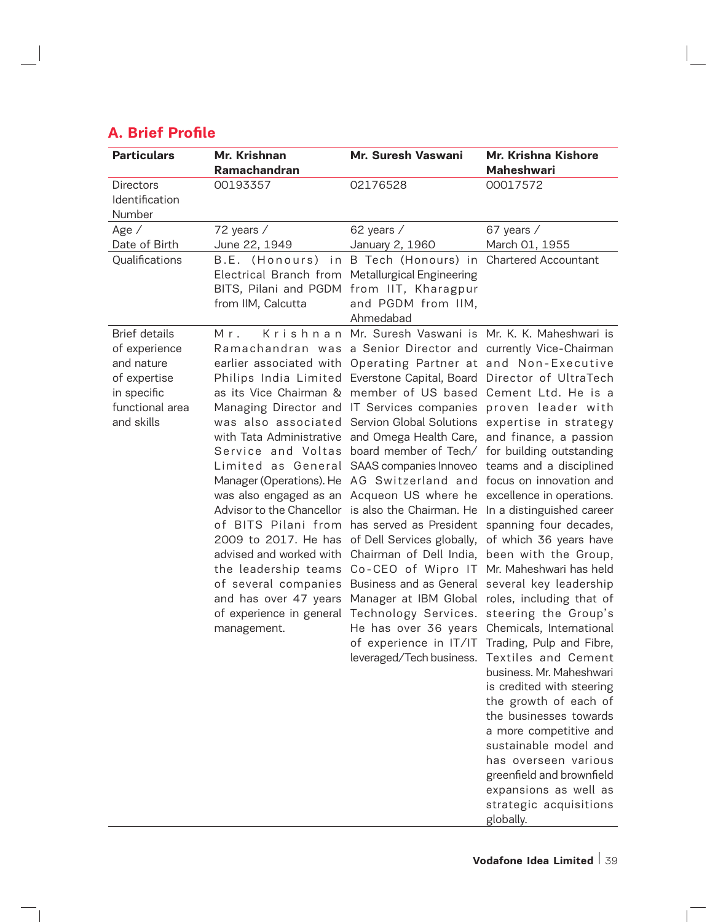| <b>Particulars</b>                                                                                                  | Mr. Krishnan       | Mr. Suresh Vaswani                                                                                                                                                                                                                                                                                                                                                                                                                                                                                                                                                                                                                                                                                                                                                                                                                                                                                                                                                                                                                                                                                                                                                                                                                                                                                                                                                                                                                                                         | Mr. Krishna Kishore                                                                                                                                                                                                                                                                                                                                                                                         |  |
|---------------------------------------------------------------------------------------------------------------------|--------------------|----------------------------------------------------------------------------------------------------------------------------------------------------------------------------------------------------------------------------------------------------------------------------------------------------------------------------------------------------------------------------------------------------------------------------------------------------------------------------------------------------------------------------------------------------------------------------------------------------------------------------------------------------------------------------------------------------------------------------------------------------------------------------------------------------------------------------------------------------------------------------------------------------------------------------------------------------------------------------------------------------------------------------------------------------------------------------------------------------------------------------------------------------------------------------------------------------------------------------------------------------------------------------------------------------------------------------------------------------------------------------------------------------------------------------------------------------------------------------|-------------------------------------------------------------------------------------------------------------------------------------------------------------------------------------------------------------------------------------------------------------------------------------------------------------------------------------------------------------------------------------------------------------|--|
|                                                                                                                     | Ramachandran       |                                                                                                                                                                                                                                                                                                                                                                                                                                                                                                                                                                                                                                                                                                                                                                                                                                                                                                                                                                                                                                                                                                                                                                                                                                                                                                                                                                                                                                                                            | <b>Maheshwari</b>                                                                                                                                                                                                                                                                                                                                                                                           |  |
| <b>Directors</b><br>Identification<br>Number                                                                        | 00193357           | 02176528                                                                                                                                                                                                                                                                                                                                                                                                                                                                                                                                                                                                                                                                                                                                                                                                                                                                                                                                                                                                                                                                                                                                                                                                                                                                                                                                                                                                                                                                   | 00017572                                                                                                                                                                                                                                                                                                                                                                                                    |  |
| Age /                                                                                                               | 72 years /         | 62 years /                                                                                                                                                                                                                                                                                                                                                                                                                                                                                                                                                                                                                                                                                                                                                                                                                                                                                                                                                                                                                                                                                                                                                                                                                                                                                                                                                                                                                                                                 | 67 years /                                                                                                                                                                                                                                                                                                                                                                                                  |  |
| Date of Birth                                                                                                       | June 22, 1949      | January 2, 1960                                                                                                                                                                                                                                                                                                                                                                                                                                                                                                                                                                                                                                                                                                                                                                                                                                                                                                                                                                                                                                                                                                                                                                                                                                                                                                                                                                                                                                                            | March 01, 1955                                                                                                                                                                                                                                                                                                                                                                                              |  |
| Qualifications                                                                                                      | from IIM, Calcutta | B.E. (Honours) in B Tech (Honours) in Chartered Accountant<br>Electrical Branch from Metallurgical Engineering<br>BITS, Pilani and PGDM from IIT, Kharagpur<br>and PGDM from IIM,<br>Ahmedabad                                                                                                                                                                                                                                                                                                                                                                                                                                                                                                                                                                                                                                                                                                                                                                                                                                                                                                                                                                                                                                                                                                                                                                                                                                                                             |                                                                                                                                                                                                                                                                                                                                                                                                             |  |
| <b>Brief details</b><br>of experience<br>and nature<br>of expertise<br>in specific<br>functional area<br>and skills | Mr.<br>management. | Krishnan Mr. Suresh Vaswani is Mr. K. K. Maheshwari is<br>Ramachandran was a Senior Director and currently Vice-Chairman<br>earlier associated with Operating Partner at and Non-Executive<br>Philips India Limited Everstone Capital, Board Director of UltraTech<br>as its Vice Chairman & member of US based Cement Ltd. He is a<br>Managing Director and IT Services companies proven leader with<br>was also associated Servion Global Solutions expertise in strategy<br>with Tata Administrative and Omega Health Care, and finance, a passion<br>Service and Voltas board member of Tech/ for building outstanding<br>Limited as General SAAS companies Innoveo teams and a disciplined<br>Manager (Operations). He AG Switzerland and focus on innovation and<br>was also engaged as an Acqueon US where he excellence in operations.<br>Advisor to the Chancellor is also the Chairman. He In a distinguished career<br>of BITS Pilani from has served as President spanning four decades,<br>2009 to 2017. He has of Dell Services globally, of which 36 years have<br>advised and worked with Chairman of Dell India, been with the Group,<br>the leadership teams Co-CEO of Wipro IT Mr. Maheshwari has held<br>of several companies Business and as General several key leadership<br>and has over 47 years Manager at IBM Global roles, including that of<br>of experience in general Technology Services. steering the Group's<br>leveraged/Tech business. | He has over 36 years Chemicals, International<br>of experience in IT/IT Trading, Pulp and Fibre,<br>Textiles and Cement<br>business. Mr. Maheshwari<br>is credited with steering<br>the growth of each of<br>the businesses towards<br>a more competitive and<br>sustainable model and<br>has overseen various<br>greenfield and brownfield<br>expansions as well as<br>strategic acquisitions<br>globally. |  |

# **A. Brief Profile**